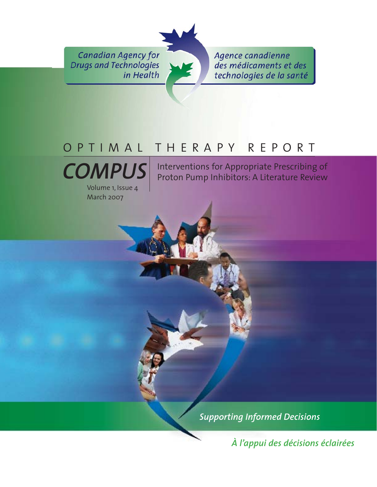**Canadian Agency for Drugs and Technologies** in Health

Agence canadienne des médicaments et des technologies de la santé

# OPTIMAL THERAPY REPORT



Volume 1, Issue 4 March 2007

Interventions for Appropriate Prescribing of Proton Pump Inhibitors: A Literature Review

*Supporting Informed Decisions* 

*À l'appui des décisions éclairées*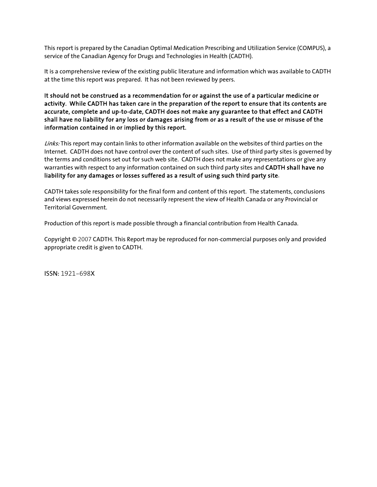This report is prepared by the Canadian Optimal Medication Prescribing and Utilization Service (COMPUS), a service of the Canadian Agency for Drugs and Technologies in Health (CADTH).

It is a comprehensive review of the existing public literature and information which was available to CADTH at the time this report was prepared. It has not been reviewed by peers.

It should not be construed as a recommendation for or against the use of a particular medicine or activity. While CADTH has taken care in the preparation of the report to ensure that its contents are accurate, complete and up-to-date, CADTH does not make any guarantee to that effect and CADTH shall have no liability for any loss or damages arising from or as a result of the use or misuse of the information contained in or implied by this report.

Links: This report may contain links to other information available on the websites of third parties on the Internet. CADTH does not have control over the content of such sites. Use of third party sites is governed by the terms and conditions set out for such web site. CADTH does not make any representations or give any warranties with respect to any information contained on such third party sites and CADTH shall have no liability for any damages or losses suffered as a result of using such third party site.

CADTH takes sole responsibility for the final form and content of this report. The statements, conclusions and views expressed herein do not necessarily represent the view of Health Canada or any Provincial or Territorial Government.

Production of this report is made possible through a financial contribution from Health Canada.

Copyright © 2007 CADTH. This Report may be reproduced for non-commercial purposes only and provided appropriate credit is given to CADTH.

ISSN: 1921-698X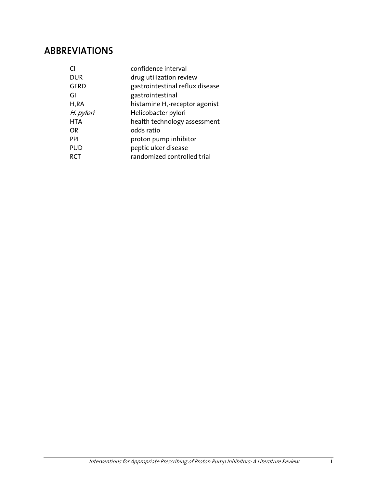### ABBREVIATIONS

| confidence interval                        |
|--------------------------------------------|
| drug utilization review                    |
| gastrointestinal reflux disease            |
| gastrointestinal                           |
| histamine H <sub>2</sub> -receptor agonist |
| Helicobacter pylori                        |
| health technology assessment               |
| odds ratio                                 |
| proton pump inhibitor                      |
| peptic ulcer disease                       |
| randomized controlled trial                |
|                                            |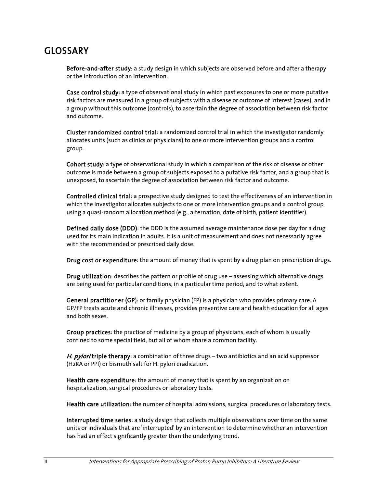### GLOSSARY

Before-and-after study: a study design in which subjects are observed before and after a therapy or the introduction of an intervention.

Case control study: a type of observational study in which past exposures to one or more putative risk factors are measured in a group of subjects with a disease or outcome of interest (cases), and in a group without this outcome (controls), to ascertain the degree of association between risk factor and outcome.

Cluster randomized control trial: a randomized control trial in which the investigator randomly allocates units (such as clinics or physicians) to one or more intervention groups and a control group.

Cohort study: a type of observational study in which a comparison of the risk of disease or other outcome is made between a group of subjects exposed to a putative risk factor, and a group that is unexposed, to ascertain the degree of association between risk factor and outcome.

Controlled clinical trial: a prospective study designed to test the effectiveness of an intervention in which the investigator allocates subjects to one or more intervention groups and a control group using a quasi-random allocation method (e.g., alternation, date of birth, patient identifier).

Defined daily dose (DDD): the DDD is the assumed average maintenance dose per day for a drug used for its main indication in adults. It is a unit of measurement and does not necessarily agree with the recommended or prescribed daily dose.

Drug cost or expenditure: the amount of money that is spent by a drug plan on prescription drugs.

Drug utilization: describes the pattern or profile of drug use – assessing which alternative drugs are being used for particular conditions, in a particular time period, and to what extent.

General practitioner (GP): or family physician (FP) is a physician who provides primary care. A GP/FP treats acute and chronic illnesses, provides preventive care and health education for all ages and both sexes.

Group practices: the practice of medicine by a group of physicians, each of whom is usually confined to some special field, but all of whom share a common facility.

H. *pylori* triple therapy: a combination of three drugs – two antibiotics and an acid suppressor (H2RA or PPI) or bismuth salt for H. pylori eradication.

Health care expenditure: the amount of money that is spent by an organization on hospitalization, surgical procedures or laboratory tests.

Health care utilization: the number of hospital admissions, surgical procedures or laboratory tests.

Interrupted time series: a study design that collects multiple observations over time on the same units or individuals that are 'interrupted' by an intervention to determine whether an intervention has had an effect significantly greater than the underlying trend.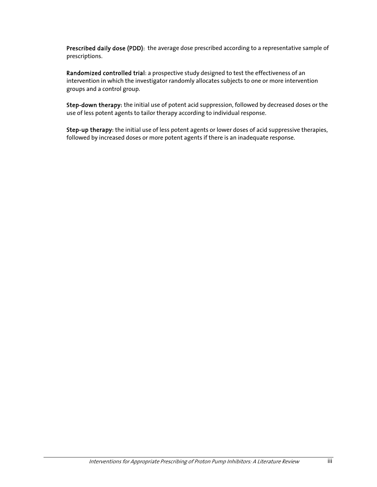Prescribed daily dose (PDD): the average dose prescribed according to a representative sample of prescriptions.

Randomized controlled trial: a prospective study designed to test the effectiveness of an intervention in which the investigator randomly allocates subjects to one or more intervention groups and a control group.

Step-down therapy: the initial use of potent acid suppression, followed by decreased doses or the use of less potent agents to tailor therapy according to individual response.

Step-up therapy: the initial use of less potent agents or lower doses of acid suppressive therapies, followed by increased doses or more potent agents if there is an inadequate response.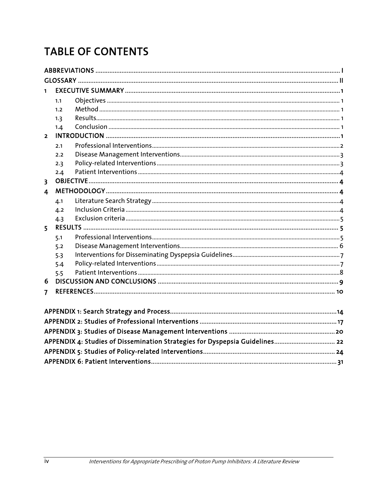# **TABLE OF CONTENTS**

| 1                       |     |                                                                             |  |
|-------------------------|-----|-----------------------------------------------------------------------------|--|
|                         | 1.1 |                                                                             |  |
|                         | 1.2 |                                                                             |  |
|                         | 1.3 |                                                                             |  |
|                         | 1.4 |                                                                             |  |
| $\overline{2}$          |     |                                                                             |  |
|                         | 2.1 |                                                                             |  |
|                         | 2.2 |                                                                             |  |
|                         | 2.3 |                                                                             |  |
|                         | 2.4 |                                                                             |  |
| $\overline{\mathbf{3}}$ |     |                                                                             |  |
| 4                       |     |                                                                             |  |
|                         | 4.1 |                                                                             |  |
|                         | 4.2 |                                                                             |  |
|                         | 4.3 |                                                                             |  |
| $\overline{5}$          |     |                                                                             |  |
|                         | 5.1 |                                                                             |  |
|                         | 5.2 |                                                                             |  |
|                         | 5.3 |                                                                             |  |
|                         | 5.4 |                                                                             |  |
|                         | 5.5 |                                                                             |  |
| 6                       |     |                                                                             |  |
| $\overline{\mathbf{z}}$ |     |                                                                             |  |
|                         |     |                                                                             |  |
|                         |     |                                                                             |  |
|                         |     |                                                                             |  |
|                         |     |                                                                             |  |
|                         |     | APPENDIX 4: Studies of Dissemination Strategies for Dyspepsia Guidelines 22 |  |
|                         |     |                                                                             |  |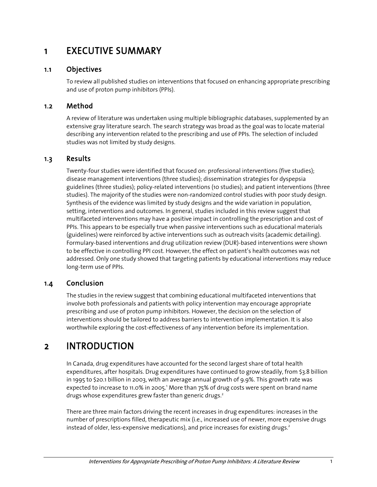### 1 EXECUTIVE SUMMARY

#### 1.1 Objectives

To review all published studies on interventions that focused on enhancing appropriate prescribing and use of proton pump inhibitors (PPIs).

#### 1.2 Method

A review of literature was undertaken using multiple bibliographic databases, supplemented by an extensive gray literature search. The search strategy was broad as the goal was to locate material describing any intervention related to the prescribing and use of PPIs. The selection of included studies was not limited by study designs.

#### 1.3 Results

Twenty-four studies were identified that focused on: professional interventions (five studies); disease management interventions (three studies); dissemination strategies for dyspepsia guidelines (three studies); policy-related interventions (10 studies); and patient interventions (three studies). The majority of the studies were non-randomized control studies with poor study design. Synthesis of the evidence was limited by study designs and the wide variation in population, setting, interventions and outcomes. In general, studies included in this review suggest that multifaceted interventions may have a positive impact in controlling the prescription and cost of PPIs. This appears to be especially true when passive interventions such as educational materials (guidelines) were reinforced by active interventions such as outreach visits (academic detailing). Formulary-based interventions and drug utilization review (DUR)-based interventions were shown to be effective in controlling PPI cost. However, the effect on patient's health outcomes was not addressed. Only one study showed that targeting patients by educational interventions may reduce long-term use of PPIs.

#### 1.4 Conclusion

The studies in the review suggest that combining educational multifaceted interventions that involve both professionals and patients with policy intervention may encourage appropriate prescribing and use of proton pump inhibitors. However, the decision on the selection of interventions should be tailored to address barriers to intervention implementation. It is also worthwhile exploring the cost-effectiveness of any intervention before its implementation.

### 2 INTRODUCTION

In Canada, drug expenditures have accounted for the second largest share of total health expenditures, after hospitals. Drug expenditures have continued to grow steadily, from \$3.8 billion in 1995 to \$20.1 billion in 2003, with an average annual growth of 9.9%. This growth rate was expected to increase to 11.0% in 2005.<sup>1</sup> More than 75% of drug costs were spent on brand name drugs whose expenditures grew faster than generic drugs.<sup>2</sup>

There are three main factors driving the recent increases in drug expenditures: increases in the number of prescriptions filled, therapeutic mix (i.e., increased use of newer, more expensive drugs instead of older, less-expensive medications), and price increases for existing drugs.<sup>2</sup>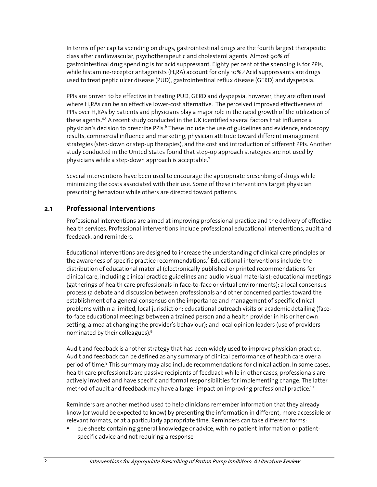In terms of per capita spending on drugs, gastrointestinal drugs are the fourth largest therapeutic class after cardiovascular, psychotherapeutic and cholesterol agents. Almost 90% of gastrointestinal drug spending is for acid suppressant. Eighty per cent of the spending is for PPIs, while histamine-receptor antagonists (H $_{\rm 2}$ RA) account for only 10%. $^{\rm 3}$  Acid suppressants are drugs used to treat peptic ulcer disease (PUD), gastrointestinal reflux disease (GERD) and dyspepsia.

PPIs are proven to be effective in treating PUD, GERD and dyspepsia; however, they are often used where H<sub>2</sub>RAs can be an effective lower-cost alternative. The perceived improved effectiveness of PPIs over H<sub>2</sub>RAs by patients and physicians play a major role in the rapid growth of the utilization of these agents.<sup>4,5</sup> A recent study conducted in the UK identified several factors that influence a physician's decision to prescribe PPIs.<sup>6</sup> These include the use of guidelines and evidence, endoscopy results, commercial influence and marketing, physician attitude toward different management strategies (step-down or step-up therapies), and the cost and introduction of different PPIs. Another study conducted in the United States found that step-up approach strategies are not used by physicians while a step-down approach is acceptable.<sup>7</sup>

Several interventions have been used to encourage the appropriate prescribing of drugs while minimizing the costs associated with their use. Some of these interventions target physician prescribing behaviour while others are directed toward patients.

#### 2.1 Professional Interventions

Professional interventions are aimed at improving professional practice and the delivery of effective health services. Professional interventions include professional educational interventions, audit and feedback, and reminders.

Educational interventions are designed to increase the understanding of clinical care principles or the awareness of specific practice recommendations. $^8$  Educational interventions include: the distribution of educational material (electronically published or printed recommendations for clinical care, including clinical practice guidelines and audio-visual materials); educational meetings (gatherings of health care professionals in face-to-face or virtual environments); a local consensus process (a debate and discussion between professionals and other concerned parties toward the establishment of a general consensus on the importance and management of specific clinical problems within a limited, local jurisdiction; educational outreach visits or academic detailing (faceto-face educational meetings between a trained person and a health provider in his or her own setting, aimed at changing the provider's behaviour); and local opinion leaders (use of providers nominated by their colleagues).<sup>9</sup>

Audit and feedback is another strategy that has been widely used to improve physician practice. Audit and feedback can be defined as any summary of clinical performance of health care over a period of time.<sup>9</sup> This summary may also include recommendations for clinical action. In some cases, health care professionals are passive recipients of feedback while in other cases, professionals are actively involved and have specific and formal responsibilities for implementing change. The latter method of audit and feedback may have a larger impact on improving professional practice.<sup>10</sup>

Reminders are another method used to help clinicians remember information that they already know (or would be expected to know) by presenting the information in different, more accessible or relevant formats, or at a particularly appropriate time. Reminders can take different forms:

cue sheets containing general knowledge or advice, with no patient information or patientspecific advice and not requiring a response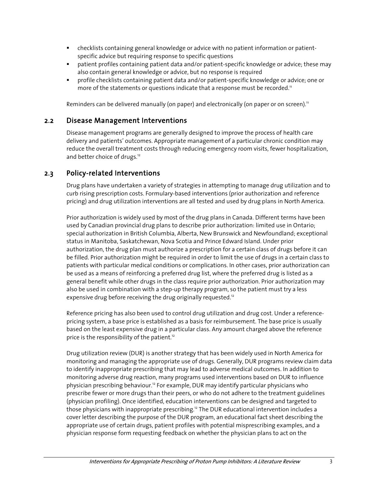- checklists containing general knowledge or advice with no patient information or patientspecific advice but requiring response to specific questions
- patient profiles containing patient data and/or patient-specific knowledge or advice; these may also contain general knowledge or advice, but no response is required
- profile checklists containing patient data and/or patient-specific knowledge or advice; one or more of the statements or questions indicate that a response must be recorded.<sup>11</sup>

Reminders can be delivered manually (on paper) and electronically (on paper or on screen).<sup>11</sup>

#### 2.2 Disease Management Interventions

Disease management programs are generally designed to improve the process of health care delivery and patients' outcomes. Appropriate management of a particular chronic condition may reduce the overall treatment costs through reducing emergency room visits, fewer hospitalization, and better choice of drugs.<sup>12</sup>

#### 2.3 Policy-related Interventions

Drug plans have undertaken a variety of strategies in attempting to manage drug utilization and to curb rising prescription costs. Formulary-based interventions (prior authorization and reference pricing) and drug utilization interventions are all tested and used by drug plans in North America.

Prior authorization is widely used by most of the drug plans in Canada. Different terms have been used by Canadian provincial drug plans to describe prior authorization: limited use in Ontario; special authorization in British Columbia, Alberta, New Brunswick and Newfoundland; exceptional status in Manitoba, Saskatchewan, Nova Scotia and Prince Edward Island. Under prior authorization, the drug plan must authorize a prescription for a certain class of drugs before it can be filled. Prior authorization might be required in order to limit the use of drugs in a certain class to patients with particular medical conditions or complications. In other cases, prior authorization can be used as a means of reinforcing a preferred drug list, where the preferred drug is listed as a general benefit while other drugs in the class require prior authorization. Prior authorization may also be used in combination with a step-up therapy program, so the patient must try a less expensive drug before receiving the drug originally requested.<sup>12</sup>

Reference pricing has also been used to control drug utilization and drug cost. Under a referencepricing system, a base price is established as a basis for reimbursement. The base price is usually based on the least expensive drug in a particular class. Any amount charged above the reference price is the responsibility of the patient.<sup>12</sup>

Drug utilization review (DUR) is another strategy that has been widely used in North America for monitoring and managing the appropriate use of drugs. Generally, DUR programs review claim data to identify inappropriate prescribing that may lead to adverse medical outcomes. In addition to monitoring adverse drug reaction, many programs used interventions based on DUR to influence physician prescribing behaviour.<sup>12</sup> For example, DUR may identify particular physicians who prescribe fewer or more drugs than their peers, or who do not adhere to the treatment guidelines (physician profiling). Once identified, education interventions can be designed and targeted to those physicians with inappropriate prescribing.<sup>12</sup> The DUR educational intervention includes a cover letter describing the purpose of the DUR program, an educational fact sheet describing the appropriate use of certain drugs, patient profiles with potential misprescribing examples, and a physician response form requesting feedback on whether the physician plans to act on the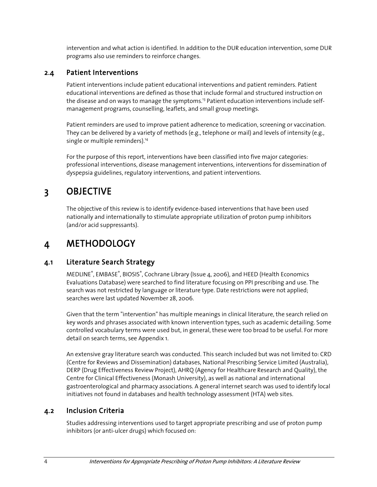intervention and what action is identified. In addition to the DUR education intervention, some DUR programs also use reminders to reinforce changes.

#### 2.4 Patient Interventions

Patient interventions include patient educational interventions and patient reminders. Patient educational interventions are defined as those that include formal and structured instruction on the disease and on ways to manage the symptoms.<sup>13</sup> Patient education interventions include selfmanagement programs, counselling, leaflets, and small group meetings.

Patient reminders are used to improve patient adherence to medication, screening or vaccination. They can be delivered by a variety of methods (e.g., telephone or mail) and levels of intensity (e.g., single or multiple reminders).<sup>14</sup>

For the purpose of this report, interventions have been classified into five major categories: professional interventions, disease management interventions, interventions for dissemination of dyspepsia guidelines, regulatory interventions, and patient interventions.

### 3 OBJECTIVE

The objective of this review is to identify evidence-based interventions that have been used nationally and internationally to stimulate appropriate utilization of proton pump inhibitors (and/or acid suppressants).

### 4 METHODOLOGY

#### 4.1 Literature Search Strategy

MEDLINE®, EMBASE®, BIOSIS®, Cochrane Library (Issue 4, 2006), and HEED (Health Economics Evaluations Database) were searched to find literature focusing on PPI prescribing and use. The search was not restricted by language or literature type. Date restrictions were not applied; searches were last updated November 28, 2006.

Given that the term "intervention" has multiple meanings in clinical literature, the search relied on key words and phrases associated with known intervention types, such as academic detailing. Some controlled vocabulary terms were used but, in general, these were too broad to be useful. For more detail on search terms, see Appendix 1.

An extensive gray literature search was conducted. This search included but was not limited to: CRD (Centre for Reviews and Dissemination) databases, National Prescribing Service Limited (Australia), DERP (Drug Effectiveness Review Project), AHRQ (Agency for Healthcare Research and Quality), the Centre for Clinical Effectiveness (Monash University), as well as national and international gastroenterological and pharmacy associations. A general internet search was used to identify local initiatives not found in databases and health technology assessment (HTA) web sites.

#### 4.2 Inclusion Criteria

Studies addressing interventions used to target appropriate prescribing and use of proton pump inhibitors (or anti-ulcer drugs) which focused on: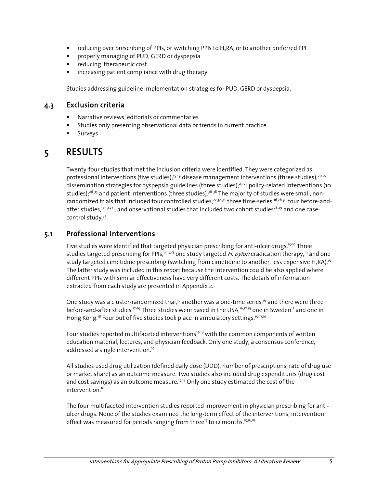- **F** reducing over prescribing of PPIs, or switching PPIs to H<sub>2</sub>RA, or to another preferred PPI
- **Part Properly managing of PUD, GERD or dyspepsia**
- **•** reducing therapeutic cost
- **EXEC** increasing patient compliance with drug therapy.

Studies addressing guideline implementation strategies for PUD, GERD or dyspepsia.

#### 4.3 Exclusion criteria

- Narrative reviews, editorials or commentaries
- Studies only presenting observational data or trends in current practice
- **Surveys**

### 5 RESULTS

Twenty-four studies that met the inclusion criteria were identified. They were categorized as: professional interventions (five studies);<sup>15-19</sup> disease management interventions (three studies);<sup>20-22</sup> dissemination strategies for dyspepsia guidelines (three studies);<sup>23-25</sup> policy-related interventions (10 studies);<sup>26-35</sup> and patient interventions (three studies).<sup>36-38</sup> The majority of studies were small, nonrandomized trials that included four controlled studies,<sup>22,32-34</sup> three time-series,<sup>16,26,30</sup> four before-andafter studies,<sup>17-19,27</sup>; and observational studies that included two cohort studies<sup>28,29</sup> and one casecontrol study.31

#### 5.1 Professional Interventions

Five studies were identified that targeted physician prescribing for anti-ulcer drugs.<sup>15-19</sup> Three studies targeted prescribing for PPIs,<sup>15,17,18</sup> one study targeted H. pylori eradication therapy,<sup>19</sup> and one study targeted cimetidine prescribing (switching from cimetidine to another, less expensive H<sub>3</sub>RA).<sup>16</sup> The latter study was included in this report because the intervention could be also applied where different PPIs with similar effectiveness have very different costs. The details of information extracted from each study are presented in Appendix 2.

One study was a cluster-randomized trial,<sup>15</sup> another was a one-time series,<sup>16</sup> and there were three before-and-after studies.<sup>17-19</sup> Three studies were based in the USA,<sup>16,17,19</sup> one in Sweden<sup>15</sup> and one in Hong Kong.<sup>18</sup> Four out of five studies took place in ambulatory settings.<sup>15-17,19</sup>

Four studies reported multifaceted interventions<sup>15-18</sup> with the common components of written education material, lectures, and physician feedback. Only one study, a consensus conference, addressed a single intervention.<sup>19</sup>

All studies used drug utilization (defined daily dose (DDD), number of prescriptions, rate of drug use or market share) as an outcome measure. Two studies also included drug expenditures (drug cost and cost savings) as an outcome measure.<sup>17,18</sup> Only one study estimated the cost of the intervention.<sup>16</sup>

The four multifaceted intervention studies reported improvement in physician prescribing for antiulcer drugs. None of the studies examined the long-term effect of the interventions; intervention effect was measured for periods ranging from three<sup>17</sup> to 12 months.<sup>15,16,18</sup>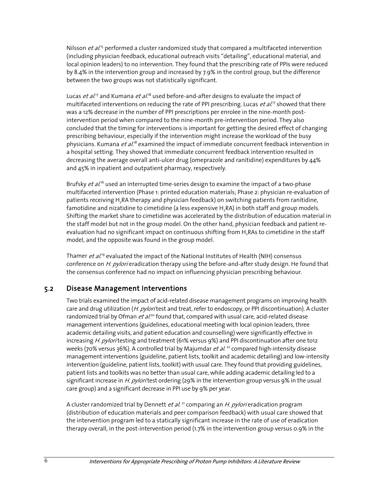Nilsson *et al.*<sup>15</sup> performed a cluster randomized study that compared a multifaceted intervention (including physician feedback, educational outreach visits "detailing", educational material, and local opinion leaders) to no intervention. They found that the prescribing rate of PPIs were reduced by 8.4% in the intervention group and increased by 7.9% in the control group, but the difference between the two groups was not statistically significant.

Lucas *et al*.'<sup>7</sup> and Kumana *et al*.'<sup>8</sup> used before-and-after designs to evaluate the impact of multifaceted interventions on reducing the rate of PPI prescribing. Lucas *et al.*<sup>17</sup> showed that there was a 12% decrease in the number of PPI prescriptions per enrolee in the nine-month postintervention period when compared to the nine-month pre-intervention period. They also concluded that the timing for interventions is important for getting the desired effect of changing prescribing behaviour, especially if the intervention might increase the workload of the busy physicians. Kumana *et al*.'<sup>8</sup> examined the impact of immediate concurrent feedback intervention in a hospital setting. They showed that immediate concurrent feedback intervention resulted in decreasing the average overall anti-ulcer drug (omeprazole and ranitidine) expenditures by 44% and 45% in inpatient and outpatient pharmacy, respectively.

Brufsky *et al*.<sup>16</sup> used an interrupted time-series design to examine the impact of a two-phase multifaceted intervention (Phase 1: printed education materials; Phase 2: physician re-evaluation of patients receiving H<sub>2</sub>RA therapy and physician feedback) on switching patients from ranitidine, famotidine and nizatidine to cimetidine (a less expensive H<sub>2</sub>RA) in both staff and group models. Shifting the market share to cimetidine was accelerated by the distribution of education material in the staff model but not in the group model. On the other hand, physician feedback and patient reevaluation had no significant impact on continuous shifting from H,RAs to cimetidine in the staff model, and the opposite was found in the group model.

Thamer *et al*.'9 evaluated the impact of the National Institutes of Health (NIH) consensus conference on H. pylori eradication therapy using the before-and-after study design. He found that the consensus conference had no impact on influencing physician prescribing behaviour.

#### 5.2 Disease Management Interventions

Two trials examined the impact of acid-related disease management programs on improving health care and drug utilization (H. pylori test and treat, refer to endoscopy, or PPI discontinuation). A cluster randomized trial by Ofman *et al.*<sup>20</sup> found that, compared with usual care, acid-related disease management interventions (guidelines, educational meeting with local opinion leaders, three academic detailing visits, and patient education and counselling) were significantly effective in increasing H. pylori testing and treatment (61% versus 9%) and PPI discontinuation after one to12 weeks (70% versus 36%). A controlled trial by Majumdar et al.<sup>22</sup> compared high-intensity disease management interventions (guideline, patient lists, toolkit and academic detailing) and low-intensity intervention (guideline, patient lists, toolkit) with usual care. They found that providing guidelines, patient lists and toolkits was no better than usual care, while adding academic detailing led to a significant increase in H. pyloritest ordering (29% in the intervention group versus 9% in the usual care group) and a significant decrease in PPI use by 9% per year.

A cluster randomized trial by Dennett et al.<sup>21</sup> comparing an H. pylori eradication program (distribution of education materials and peer comparison feedback) with usual care showed that the intervention program led to a statically significant increase in the rate of use of eradication therapy overall, in the post-intervention period (1.7% in the intervention group versus 0.9% in the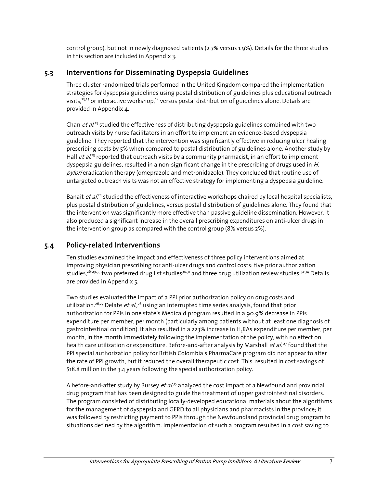control group), but not in newly diagnosed patients (2.7% versus 1.9%). Details for the three studies in this section are included in Appendix 3.

#### 5.3 Interventions for Disseminating Dyspepsia Guidelines

Three cluster randomized trials performed in the United Kingdom compared the implementation strategies for dyspepsia guidelines using postal distribution of guidelines plus educational outreach visits,<sup>23,25</sup> or interactive workshop,<sup>24</sup> versus postal distribution of guidelines alone. Details are provided in Appendix 4.

Chan et al.<sup>23</sup> studied the effectiveness of distributing dyspepsia guidelines combined with two outreach visits by nurse facilitators in an effort to implement an evidence-based dyspepsia guideline. They reported that the intervention was significantly effective in reducing ulcer healing prescribing costs by 5% when compared to postal distribution of guidelines alone. Another study by Hall *et al.<sup>25</sup>* reported that outreach visits by a community pharmacist, in an effort to implement dyspepsia guidelines, resulted in a non-significant change in the prescribing of drugs used in H. pylori eradication therapy (omeprazole and metronidazole). They concluded that routine use of untargeted outreach visits was not an effective strategy for implementing a dyspepsia guideline.

Banait et al.<sup>24</sup> studied the effectiveness of interactive workshops chaired by local hospital specialists, plus postal distribution of guidelines, versus postal distribution of guidelines alone. They found that the intervention was significantly more effective than passive guideline dissemination. However, it also produced a significant increase in the overall prescribing expenditures on anti-ulcer drugs in the intervention group as compared with the control group (8% versus 2%).

#### 5.4 Policy-related Interventions

Ten studies examined the impact and effectiveness of three policy interventions aimed at improving physician prescribing for anti-ulcer drugs and control costs: five prior authorization studies,<sup>26-29,35</sup> two preferred drug list studies<sup>30,31</sup> and three drug utilization review studies.<sup>32-34</sup> Details are provided in Appendix 5.

Two studies evaluated the impact of a PPI prior authorization policy on drug costs and utilization.<sup>26,27</sup> Delate *et al.*,<sup>26</sup> using an interrupted time series analysis, found that prior authorization for PPIs in one state's Medicaid program resulted in a 90.9% decrease in PPIs expenditure per member, per month (particularly among patients without at least one diagnosis of gastrointestinal condition). It also resulted in a 223% increase in H2RAs expenditure per member, per month, in the month immediately following the implementation of the policy, with no effect on health care utilization or expenditure. Before-and-after analysis by Marshall *et al.* <sup>27</sup> found that the PPI special authorization policy for British Colombia's PharmaCare program did not appear to alter the rate of PPI growth, but it reduced the overall therapeutic cost. This resulted in cost savings of \$18.8 million in the 3.4 years following the special authorization policy.

A before-and-after study by Bursey et al.<sup>35</sup> analyzed the cost impact of a Newfoundland provincial drug program that has been designed to guide the treatment of upper gastrointestinal disorders. The program consisted of distributing locally-developed educational materials about the algorithms for the management of dyspepsia and GERD to all physicians and pharmacists in the province; it was followed by restricting payment to PPIs through the Newfoundland provincial drug program to situations defined by the algorithm. Implementation of such a program resulted in a cost saving to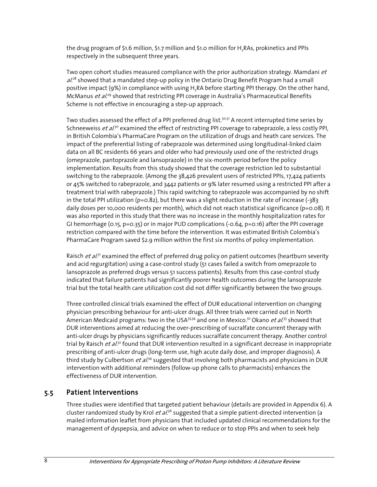the drug program of \$1.6 million, \$1.7 million and \$1.0 million for H, RAs, prokinetics and PPIs respectively in the subsequent three years.

Two open cohort studies measured compliance with the prior authorization strategy. Mamdani et al.<sup>28</sup> showed that a mandated step-up policy in the Ontario Drug Benefit Program had a small positive impact (9%) in compliance with using H<sub>2</sub>RA before starting PPI therapy. On the other hand, McManus et al.<sup>29</sup> showed that restricting PPI coverage in Australia's Pharmaceutical Benefits Scheme is not effective in encouraging a step-up approach.

Two studies assessed the effect of a PPI preferred drug list.<sup>30,31</sup> A recent interrupted time series by Schneeweiss *et al*.<sup>30</sup> examined the effect of restricting PPI coverage to rabeprazole, a less costly PPI, in British Colombia's PharmaCare Program on the utilization of drugs and heath care services. The impact of the preferential listing of rabeprazole was determined using longitudinal-linked claim data on all BC residents 66 years and older who had previously used one of the restricted drugs (omeprazole, pantoprazole and lansoprazole) in the six-month period before the policy implementation. Results from this study showed that the coverage restriction led to substantial switching to the rabeprazole. (Among the 38,426 prevalent users of restricted PPIs, 17,424 patients or 45% switched to rabeprazole, and 3442 patients or 9% later resumed using a restricted PPI after a treatment trial with rabeprazole.) This rapid switching to rabeprazole was accompanied by no shift in the total PPI utilization ( $p=0.82$ ), but there was a slight reduction in the rate of increase (-383) daily doses per 10,000 residents per month), which did not reach statistical significance (p=0.08). It was also reported in this study that there was no increase in the monthly hospitalization rates for GI hemorrhage (0.15, p=0.35) or in major PUD complications (-0.64, p=0.16) after the PPI coverage restriction compared with the time before the intervention. It was estimated British Colombia's PharmaCare Program saved \$2.9 million within the first six months of policy implementation.

Raisch *et al*.<sup>31</sup> examined the effect of preferred drug policy on patient outcomes (heartburn severity and acid regurgitation) using a case-control study (51 cases failed a switch from omeprazole to lansoprazole as preferred drugs versus 51 success patients). Results from this case-control study indicated that failure patients had significantly poorer health outcomes during the lansoprazole trial but the total health care utilization cost did not differ significantly between the two groups.

Three controlled clinical trials examined the effect of DUR educational intervention on changing physician prescribing behaviour for anti-ulcer drugs. All three trials were carried out in North American Medicaid programs: two in the USA<sup>33,34</sup> and one in Mexico.<sup>32</sup> Okano *et al*.<sup>33</sup> showed that DUR interventions aimed at reducing the over-prescribing of sucralfate concurrent therapy with anti-ulcer drugs by physicians significantly reduces sucralfate concurrent therapy. Another control trial by Raisch et al.<sup>32</sup> found that DUR intervention resulted in a significant decrease in inappropriate prescribing of anti-ulcer drugs (long-term use, high acute daily dose, and improper diagnosis). A third study by Culbertson *et al*.<sup>34</sup> suggested that involving both pharmacists and physicians in DUR intervention with additional reminders (follow-up phone calls to pharmacists) enhances the effectiveness of DUR intervention.

#### 5.5 Patient Interventions

Three studies were identified that targeted patient behaviour (details are provided in Appendix 6). A cluster randomized study by Krol et al.<sup>36</sup> suggested that a simple patient-directed intervention (a mailed information leaflet from physicians that included updated clinical recommendations for the management of dyspepsia, and advice on when to reduce or to stop PPIs and when to seek help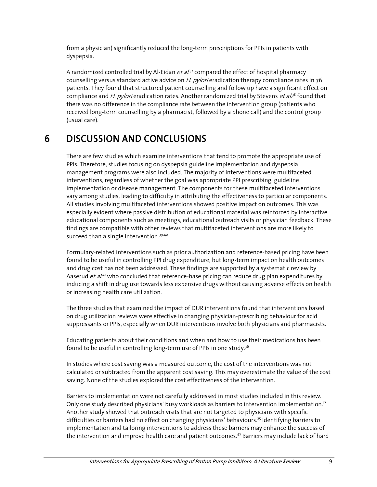from a physician) significantly reduced the long-term prescriptions for PPIs in patients with dyspepsia.

A randomized controlled trial by Al-Eidan *et al.<sup>37</sup>* compared the effect of hospital pharmacy counselling versus standard active advice on H. pylori eradication therapy compliance rates in 76 patients. They found that structured patient counselling and follow up have a significant effect on compliance and H. pylori eradication rates. Another randomized trial by Stevens et al.<sup>38</sup> found that there was no difference in the compliance rate between the intervention group (patients who received long-term counselling by a pharmacist, followed by a phone call) and the control group (usual care).

### 6 DISCUSSION AND CONCLUSIONS

There are few studies which examine interventions that tend to promote the appropriate use of PPIs. Therefore, studies focusing on dyspepsia guideline implementation and dyspepsia management programs were also included. The majority of interventions were multifaceted interventions, regardless of whether the goal was appropriate PPI prescribing, guideline implementation or disease management. The components for these multifaceted interventions vary among studies, leading to difficulty in attributing the effectiveness to particular components. All studies involving multifaceted interventions showed positive impact on outcomes. This was especially evident where passive distribution of educational material was reinforced by interactive educational components such as meetings, educational outreach visits or physician feedback. These findings are compatible with other reviews that multifaceted interventions are more likely to succeed than a single intervention.<sup>39,40</sup>

Formulary-related interventions such as prior authorization and reference-based pricing have been found to be useful in controlling PPI drug expenditure, but long-term impact on health outcomes and drug cost has not been addressed. These findings are supported by a systematic review by Aaserud *et al*.<sup>41</sup> who concluded that reference-base pricing can reduce drug plan expenditures by inducing a shift in drug use towards less expensive drugs without causing adverse effects on health or increasing health care utilization.

The three studies that examined the impact of DUR interventions found that interventions based on drug utilization reviews were effective in changing physician-prescribing behaviour for acid suppressants or PPIs, especially when DUR interventions involve both physicians and pharmacists.

Educating patients about their conditions and when and how to use their medications has been found to be useful in controlling long-term use of PPIs in one study.<sup>36</sup>

In studies where cost saving was a measured outcome, the cost of the interventions was not calculated or subtracted from the apparent cost saving. This may overestimate the value of the cost saving. None of the studies explored the cost effectiveness of the intervention.

Barriers to implementation were not carefully addressed in most studies included in this review. Only one study described physicians' busy workloads as barriers to intervention implementation.<sup>17</sup> Another study showed that outreach visits that are not targeted to physicians with specific difficulties or barriers had no effect on changing physicians' behaviours.<sup>25</sup> Identifying barriers to implementation and tailoring interventions to address these barriers may enhance the success of the intervention and improve health care and patient outcomes.<sup>42</sup> Barriers may include lack of hard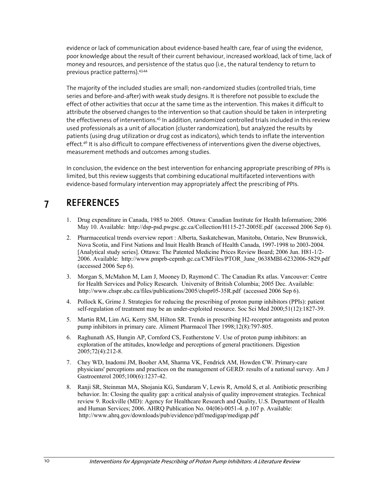evidence or lack of communication about evidence-based health care, fear of using the evidence, poor knowledge about the result of their current behaviour, increased workload, lack of time, lack of money and resources, and persistence of the status quo (i.e., the natural tendency to return to previous practice patterns).43,44

The majority of the included studies are small; non-randomized studies (controlled trials, time series and before-and-after) with weak study designs. It is therefore not possible to exclude the effect of other activities that occur at the same time as the intervention. This makes it difficult to attribute the observed changes to the intervention so that caution should be taken in interpreting the effectiveness of interventions.<sup>45</sup> In addition, randomized controlled trials included in this review used professionals as a unit of allocation (cluster randomization), but analyzed the results by patients (using drug utilization or drug cost as indicators), which tends to inflate the intervention effect.<sup>46</sup> It is also difficult to compare effectiveness of interventions given the diverse objectives, measurement methods and outcomes among studies.

In conclusion, the evidence on the best intervention for enhancing appropriate prescribing of PPIs is limited, but this review suggests that combining educational multifaceted interventions with evidence-based formulary intervention may appropriately affect the prescribing of PPIs.

### 7 REFERENCES

- 1. Drug expenditure in Canada, 1985 to 2005. Ottawa: Canadian Institute for Health Information; 2006 May 10. Available: http://dsp-psd.pwgsc.gc.ca/Collection/H115-27-2005E.pdf (accessed 2006 Sep 6).
- 2. Pharmaceutical trends overview report : Alberta, Saskatchewan, Manitoba, Ontario, New Brunswick, Nova Scotia, and First Nations and Inuit Health Branch of Health Canada, 1997-1998 to 2003-2004. [Analytical study series]. Ottawa: The Patented Medicine Prices Review Board; 2006 Jun. H81-1/2- 2006. Available: http://www.pmprb-cepmb.gc.ca/CMFiles/PTOR\_June\_0638MBI-6232006-5829.pdf (accessed 2006 Sep 6).
- 3. Morgan S, McMahon M, Lam J, Mooney D, Raymond C. The Canadian Rx atlas. Vancouver: Centre for Health Services and Policy Research. University of British Columbia; 2005 Dec. Available: http://www.chspr.ubc.ca/files/publications/2005/chspr05-35R.pdf (accessed 2006 Sep 6).
- 4. Pollock K, Grime J. Strategies for reducing the prescribing of proton pump inhibitors (PPIs): patient self-regulation of treatment may be an under-exploited resource. Soc Sci Med 2000;51(12):1827-39.
- 5. Martin RM, Lim AG, Kerry SM, Hilton SR. Trends in prescribing H2-receptor antagonists and proton pump inhibitors in primary care. Aliment Pharmacol Ther 1998;12(8):797-805.
- 6. Raghunath AS, Hungin AP, Cornford CS, Featherstone V. Use of proton pump inhibitors: an exploration of the attitudes, knowledge and perceptions of general practitioners. Digestion 2005;72(4):212-8.
- 7. Chey WD, Inadomi JM, Booher AM, Sharma VK, Fendrick AM, Howden CW. Primary-care physicians' perceptions and practices on the management of GERD: results of a national survey. Am J Gastroenterol 2005;100(6):1237-42.
- 8. Ranji SR, Steinman MA, Shojania KG, Sundaram V, Lewis R, Arnold S, et al. Antibiotic prescribing behavior. In: Closing the quality gap: a critical analysis of quality improvement strategies. Technical review 9. Rockville (MD): Agency for Healthcare Research and Quality, U.S. Department of Health and Human Services; 2006. AHRQ Publication No. 04(06)-0051-4. p.107 p. Available: http://www.ahrq.gov/downloads/pub/evidence/pdf/medigap/medigap.pdf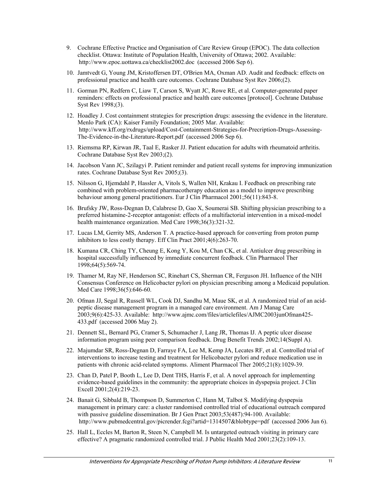- 9. Cochrane Effective Practice and Organisation of Care Review Group (EPOC). The data collection checklist. Ottawa: Institute of Population Health, University of Ottawa; 2002. Available: http://www.epoc.uottawa.ca/checklist2002.doc (accessed 2006 Sep 6).
- 10. Jamtvedt G, Young JM, Kristoffersen DT, O'Brien MA, Oxman AD. Audit and feedback: effects on professional practice and health care outcomes. Cochrane Database Syst Rev 2006;(2).
- 11. Gorman PN, Redfern C, Liaw T, Carson S, Wyatt JC, Rowe RE, et al. Computer-generated paper reminders: effects on professional practice and health care outcomes [protocol]. Cochrane Database Syst Rev 1998;(3).
- 12. Hoadley J. Cost containment strategies for prescription drugs: assessing the evidence in the literature. Menlo Park (CA): Kaiser Family Foundation; 2005 Mar. Available: http://www.kff.org/rxdrugs/upload/Cost-Containment-Strategies-for-Precription-Drugs-Assessing-The-Evidence-in-the-Literature-Report.pdf (accessed 2006 Sep 6).
- 13. Riemsma RP, Kirwan JR, Taal E, Rasker JJ. Patient education for adults with rheumatoid arthritis. Cochrane Database Syst Rev 2003;(2).
- 14. Jacobson Vann JC, Szilagyi P. Patient reminder and patient recall systems for improving immunization rates. Cochrane Database Syst Rev 2005;(3).
- 15. Nilsson G, Hjemdahl P, Hassler A, Vitols S, Wallen NH, Krakau I. Feedback on prescribing rate combined with problem-oriented pharmacotherapy education as a model to improve prescribing behaviour among general practitioners. Eur J Clin Pharmacol 2001;56(11):843-8.
- 16. Brufsky JW, Ross-Degnan D, Calabrese D, Gao X, Soumerai SB. Shifting physician prescribing to a preferred histamine-2-receptor antagonist: effects of a multifactorial intervention in a mixed-model health maintenance organization. Med Care 1998;36(3):321-32.
- 17. Lucas LM, Gerrity MS, Anderson T. A practice-based approach for converting from proton pump inhibitors to less costly therapy. Eff Clin Pract 2001;4(6):263-70.
- 18. Kumana CR, Ching TY, Cheung E, Kong Y, Kou M, Chan CK, et al. Antiulcer drug prescribing in hospital successfully influenced by immediate concurrent feedback. Clin Pharmacol Ther 1998;64(5):569-74.
- 19. Thamer M, Ray NF, Henderson SC, Rinehart CS, Sherman CR, Ferguson JH. Influence of the NIH Consensus Conference on Helicobacter pylori on physician prescribing among a Medicaid population. Med Care 1998;36(5):646-60.
- 20. Ofman JJ, Segal R, Russell WL, Cook DJ, Sandhu M, Maue SK, et al. A randomized trial of an acidpeptic disease management program in a managed care environment. Am J Manag Care 2003;9(6):425-33. Available: http://www.ajmc.com/files/articlefiles/AJMC2003junOfman425-433.pdf (accessed 2006 May 2).
- 21. Dennett SL, Bernard PG, Cramer S, Schumacher J, Lang JR, Thomas IJ. A peptic ulcer disease information program using peer comparison feedback. Drug Benefit Trends 2002;14(Suppl A).
- 22. Majumdar SR, Ross-Degnan D, Farraye FA, Lee M, Kemp JA, Lecates RF, et al. Controlled trial of interventions to increase testing and treatment for Helicobacter pylori and reduce medication use in patients with chronic acid-related symptoms. Aliment Pharmacol Ther 2005;21(8):1029-39.
- 23. Chan D, Patel P, Booth L, Lee D, Dent THS, Harris F, et al. A novel approach for implementing evidence-based guidelines in the community: the appropriate choices in dyspepsia project. J Clin Excell 2001;2(4):219-23.
- 24. Banait G, Sibbald B, Thompson D, Summerton C, Hann M, Talbot S. Modifying dyspepsia management in primary care: a cluster randomised controlled trial of educational outreach compared with passive guideline dissemination. Br J Gen Pract 2003;53(487):94-100. Available: http://www.pubmedcentral.gov/picrender.fcgi?artid=1314507&blobtype=pdf (accessed 2006 Jun 6).
- 25. Hall L, Eccles M, Barton R, Steen N, Campbell M. Is untargeted outreach visiting in primary care effective? A pragmatic randomized controlled trial. J Public Health Med 2001;23(2):109-13.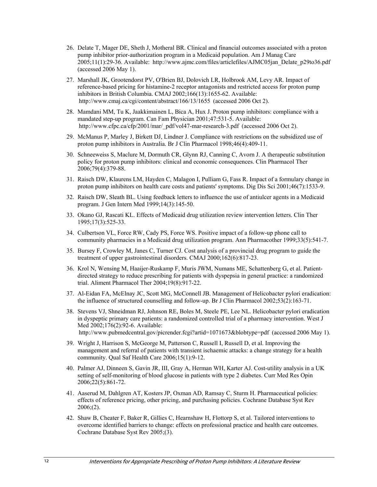- 26. Delate T, Mager DE, Sheth J, Motheral BR. Clinical and financial outcomes associated with a proton pump inhibitor prior-authorization program in a Medicaid population. Am J Manag Care  $2005;11(1):29-36$ . Available: http://www.ajmc.com/files/articlefiles/AJMC05jan\_Delate\_p29to36.pdf (accessed 2006 May 1).
- 27. Marshall JK, Grootendorst PV, O'Brien BJ, Dolovich LR, Holbrook AM, Levy AR. Impact of reference-based pricing for histamine-2 receptor antagonists and restricted access for proton pump inhibitors in British Columbia. CMAJ 2002;166(13):1655-62. Available: http://www.cmaj.ca/cgi/content/abstract/166/13/1655 (accessed 2006 Oct 2).
- 28. Mamdani MM, Tu K, Jaakkimainen L, Bica A, Hux J. Proton pump inhibitors: compliance with a mandated step-up program. Can Fam Physician 2001;47:531-5. Available: http://www.cfpc.ca/cfp/2001/mar/\_pdf/vol47-mar-research-3.pdf (accessed 2006 Oct 2).
- 29. McManus P, Marley J, Birkett DJ, Lindner J. Compliance with restrictions on the subsidized use of proton pump inhibitors in Australia. Br J Clin Pharmacol 1998;46(4):409-11.
- 30. Schneeweiss S, Maclure M, Dormuth CR, Glynn RJ, Canning C, Avorn J. A therapeutic substitution policy for proton pump inhibitors: clinical and economic consequences. Clin Pharmacol Ther 2006;79(4):379-88.
- 31. Raisch DW, Klaurens LM, Hayden C, Malagon I, Pulliam G, Fass R. Impact of a formulary change in proton pump inhibitors on health care costs and patients' symptoms. Dig Dis Sci 2001;46(7):1533-9.
- 32. Raisch DW, Sleath BL. Using feedback letters to influence the use of antiulcer agents in a Medicaid program. J Gen Intern Med 1999;14(3):145-50.
- 33. Okano GJ, Rascati KL. Effects of Medicaid drug utilization review intervention letters. Clin Ther 1995;17(3):525-33.
- 34. Culbertson VL, Force RW, Cady PS, Force WS. Positive impact of a follow-up phone call to community pharmacies in a Medicaid drug utilization program. Ann Pharmacother 1999;33(5):541-7.
- 35. Bursey F, Crowley M, Janes C, Turner CJ. Cost analysis of a provincial drug program to guide the treatment of upper gastrointestinal disorders. CMAJ 2000;162(6):817-23.
- 36. Krol N, Wensing M, Haaijer-Ruskamp F, Muris JWM, Numans ME, Schattenberg G, et al. Patientdirected strategy to reduce prescribing for patients with dyspepsia in general practice: a randomized trial. Aliment Pharmacol Ther 2004;19(8):917-22.
- 37. Al-Eidan FA, McElnay JC, Scott MG, McConnell JB. Management of Helicobacter pylori eradication: the influence of structured counselling and follow-up. Br J Clin Pharmacol 2002;53(2):163-71.
- 38. Stevens VJ, Shneidman RJ, Johnson RE, Boles M, Steele PE, Lee NL. Helicobacter pylori eradication in dyspeptic primary care patients: a randomized controlled trial of a pharmacy intervention. West J Med 2002;176(2):92-6. Available: http://www.pubmedcentral.gov/picrender.fcgi?artid=1071673&blobtype=pdf (accessed 2006 May 1).
- 39. Wright J, Harrison S, McGeorge M, Patterson C, Russell I, Russell D, et al. Improving the management and referral of patients with transient ischaemic attacks: a change strategy for a health community. Qual Saf Health Care 2006;15(1):9-12.
- 40. Palmer AJ, Dinneen S, Gavin JR, III, Gray A, Herman WH, Karter AJ. Cost-utility analysis in a UK setting of self-monitoring of blood glucose in patients with type 2 diabetes. Curr Med Res Opin 2006;22(5):861-72.
- 41. Aaserud M, Dahlgren AT, Kosters JP, Oxman AD, Ramsay C, Sturm H. Pharmaceutical policies: effects of reference pricing, other pricing, and purchasing policies. Cochrane Database Syst Rev 2006;(2).
- 42. Shaw B, Cheater F, Baker R, Gillies C, Hearnshaw H, Flottorp S, et al. Tailored interventions to overcome identified barriers to change: effects on professional practice and health care outcomes. Cochrane Database Syst Rev 2005;(3).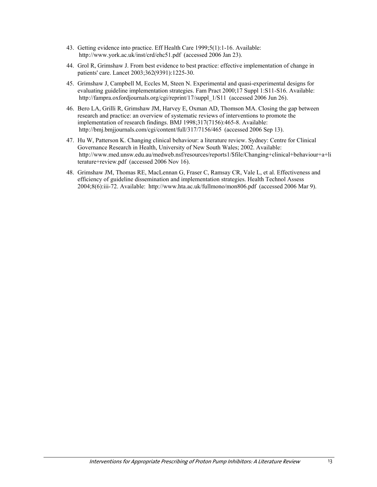- 43. Getting evidence into practice. Eff Health Care 1999;5(1):1-16. Available: http://www.york.ac.uk/inst/crd/ehc51.pdf (accessed 2006 Jan 23).
- 44. Grol R, Grimshaw J. From best evidence to best practice: effective implementation of change in patients' care. Lancet 2003;362(9391):1225-30.
- 45. Grimshaw J, Campbell M, Eccles M, Steen N. Experimental and quasi-experimental designs for evaluating guideline implementation strategies. Fam Pract 2000;17 Suppl 1:S11-S16. Available: http://fampra.oxfordjournals.org/cgi/reprint/17/suppl\_1/S11 (accessed 2006 Jun 26).
- 46. Bero LA, Grilli R, Grimshaw JM, Harvey E, Oxman AD, Thomson MA. Closing the gap between research and practice: an overview of systematic reviews of interventions to promote the implementation of research findings. BMJ 1998;317(7156):465-8. Available: http://bmj.bmjjournals.com/cgi/content/full/317/7156/465 (accessed 2006 Sep 13).
- 47. Hu W, Patterson K. Changing clinical behaviour: a literature review. Sydney: Centre for Clinical Governance Research in Health, University of New South Wales; 2002. Available: http://www.med.unsw.edu.au/medweb.nsf/resources/reports1/\$file/Changing+clinical+behaviour+a+li terature+review.pdf (accessed 2006 Nov 16).
- 48. Grimshaw JM, Thomas RE, MacLennan G, Fraser C, Ramsay CR, Vale L, et al. Effectiveness and efficiency of guideline dissemination and implementation strategies. Health Technol Assess 2004;8(6):iii-72. Available: http://www.hta.ac.uk/fullmono/mon806.pdf (accessed 2006 Mar 9).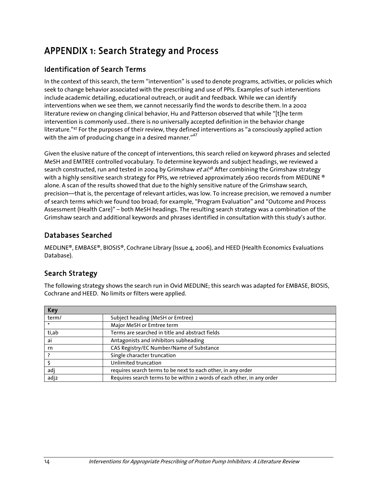# APPENDIX 1: Search Strategy and Process

#### Identification of Search Terms

In the context of this search, the term "intervention" is used to denote programs, activities, or policies which seek to change behavior associated with the prescribing and use of PPIs. Examples of such interventions include academic detailing, educational outreach, or audit and feedback. While we can identify interventions when we see them, we cannot necessarily find the words to describe them. In a 2002 literature review on changing clinical behavior, Hu and Patterson observed that while "[t]he term intervention is commonly used…there is no universally accepted definition in the behavior change literature."47 For the purposes of their review, they defined interventions as "a consciously applied action with the aim of producing change in a desired manner."<sup>47</sup>

Given the elusive nature of the concept of interventions, this search relied on keyword phrases and selected MeSH and EMTREE controlled vocabulary. To determine keywords and subject headings, we reviewed a search constructed, run and tested in 2004 by Grimshaw *et al*.<sup>48</sup> After combining the Grimshaw strategy with a highly sensitive search strategy for PPIs, we retrieved approximately 2600 records from MEDLINE  $\degree$ alone. A scan of the results showed that due to the highly sensitive nature of the Grimshaw search, precision—that is, the percentage of relevant articles, was low. To increase precision, we removed a number of search terms which we found too broad; for example, "Program Evaluation" and "Outcome and Process Assessment (Health Care)" – both MeSH headings. The resulting search strategy was a combination of the Grimshaw search and additional keywords and phrases identified in consultation with this study's author.

#### Databases Searched

MEDLINE®, EMBASE®, BIOSIS®, Cochrane Library (Issue 4, 2006), and HEED (Health Economics Evaluations Database).

#### Search Strategy

The following strategy shows the search run in Ovid MEDLINE; this search was adapted for EMBASE, BIOSIS, Cochrane and HEED. No limits or filters were applied.

| <b>Key</b> |                                                                        |
|------------|------------------------------------------------------------------------|
| term/      | Subject heading (MeSH or Emtree)                                       |
|            | Major MeSH or Emtree term                                              |
| ti,ab      | Terms are searched in title and abstract fields                        |
| ai         | Antagonists and inhibitors subheading                                  |
| rn         | CAS Registry/EC Number/Name of Substance                               |
|            | Single character truncation                                            |
|            | Unlimited truncation                                                   |
| adj        | requires search terms to be next to each other, in any order           |
| adj2       | Requires search terms to be within 2 words of each other, in any order |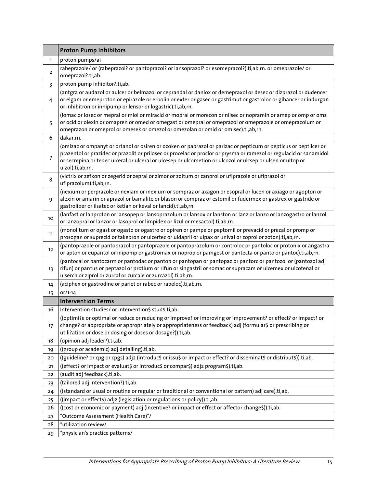| proton pumps/ai<br>$\mathbf{1}$<br>rabeprazole/ or (rabeprazol? or pantoprazol? or lansoprazol? or esomeprazol?).ti,ab,rn. or omeprazole/ or<br>$\overline{a}$<br>omeprazol?.ti,ab.<br>proton pump inhibitor?.ti,ab.<br>3<br>(antgra or audazol or aulcer or belmazol or ceprandal or danlox or demepraxol or desec or dizprazol or dudencer<br>or elgam or emeproton or epirazole or erbolin or exter or gasec or gastrimut or gastroloc or gibancer or indurgan<br>4<br>or inhibitron or inhipump or lensor or logastric).ti,ab,rn.<br>(lomac or losec or mepral or miol or miracid or mopral or morecon or nilsec or nopramin or amep or omp or omz<br>or ocid or olexin or omapren or omed or omegast or omepral or omeprazol or omeprazole or omeprazolum or<br>5<br>omeprazon or omeprol or omesek or omezol or omezolan or omid or omisec).ti,ab,rn.<br>dakar.rn.<br>6<br>(omizac or ompanyt or ortanol or osiren or ozoken or paprazol or parizac or pepticum or pepticus or peptilcer or<br>prazentol or prazidec or prazolit or prilosec or procelac or proclor or prysma or ramezol or regulacid or sanamidol<br>7<br>or secrepina or tedec ulceral or ulceral or ulcesep or ulcometion or ulcozol or ulcsep or ulsen or ultop or<br>ulzol).ti,ab,rn.<br>(victrix or zefxon or zegerid or zepral or zimor or zoltum or zanprol or ufiprazole or ufiprazol or<br>8<br>ufiprazolum).ti,ab,rn.<br>(nexium or perprazole or nexiam or inexium or sompraz or axagon or esopral or lucen or axiago or agopton or<br>alexin or amarin or aprazol or bamalite or blason or compraz or estomil or fudermex or gastrex or gastride or<br>9<br>gastroliber or ilsatec or ketian or keval or lancid).ti,ab,rn.<br>(lanfast or lanproton or lansopep or lansoprazolum or lansox or lanston or lanz or lanzo or lanzogastro or lanzol<br>10<br>or lanzopral or lanzor or lasoprol or limpidex or lizul or mesactol).ti,ab,rn.<br>(monolitum or ogast or ogasto or ogastro or opiren or pampe or peptomil or prevacid or prezal or promp or<br>11<br>prosogan or suprecid or takepron or ulcertec or uldapril or ulpax or unival or zoprol or zoton).ti,ab,rn.<br>(pantoprazole or pantoprazol or pantoprazole or pantoprazolum or controloc or pantoloc or protonix or angastra<br>12<br>or apton or eupantol or inipomp or gastromax or noprop or pamgest or pantecta or panto or pantoc).ti,ab,rn.<br>(pantocal or pantocarm or pantodac or pantop or pantopan or pantopaz or pantorc or pantozol or (pantozol adj<br>rifun) or pantus or peptazol or protium or rifun or singastril or somac or supracam or ulcemex or ulcotenal or<br>13<br>ulserch or ziprol or zurcal or zurcale or zurcazol).ti,ab,rn.<br>(aciphex or gastrodine or pariet or rabec or rabeloc).ti,ab,rn.<br>14<br>or/1-14<br>15<br><b>Intervention Terms</b><br>Intervention studies/ or intervention\$ stud\$.ti,ab.<br>16<br>((optimi?e or optimal or reduce or reducing or improve? or improving or improvement? or effect? or impact? or<br>change? or appropriate or appropriately or appropriateness or feedback) adj (formular\$ or prescribing or<br>17<br>utili?ation or dose or dosing or doses or dosage?)).ti,ab.<br>(opinion adj leader?).ti,ab.<br>18<br>((group or academic) adj detailing).ti,ab.<br>19<br>((guideline? or cpg or cpgs) adj2 (introduc\$ or issu\$ or impact or effect? or disseminat\$ or distribut\$)).ti,ab.<br>20<br>((effect? or impact or evaluat\$ or introduc\$ or compar\$) adj2 program\$).ti,ab.<br>21<br>(audit adj feedback).ti,ab.<br>22<br>(tailored adj intervention?).ti,ab.<br>23<br>((standard or usual or routine or regular or traditional or conventional or pattern) adj care).ti,ab.<br>24<br>((impact or effect\$) adj2 (legislation or regulations or policy)).ti,ab.<br>25<br>((cost or economic or payment) adj (incentive? or impact or effect or affector change\$)).ti,ab.<br>26<br>"Outcome Assessment (Health Care)"/<br>27<br>*utilization review/<br>28 |    | <b>Proton Pump Inhibitors</b>   |
|-------------------------------------------------------------------------------------------------------------------------------------------------------------------------------------------------------------------------------------------------------------------------------------------------------------------------------------------------------------------------------------------------------------------------------------------------------------------------------------------------------------------------------------------------------------------------------------------------------------------------------------------------------------------------------------------------------------------------------------------------------------------------------------------------------------------------------------------------------------------------------------------------------------------------------------------------------------------------------------------------------------------------------------------------------------------------------------------------------------------------------------------------------------------------------------------------------------------------------------------------------------------------------------------------------------------------------------------------------------------------------------------------------------------------------------------------------------------------------------------------------------------------------------------------------------------------------------------------------------------------------------------------------------------------------------------------------------------------------------------------------------------------------------------------------------------------------------------------------------------------------------------------------------------------------------------------------------------------------------------------------------------------------------------------------------------------------------------------------------------------------------------------------------------------------------------------------------------------------------------------------------------------------------------------------------------------------------------------------------------------------------------------------------------------------------------------------------------------------------------------------------------------------------------------------------------------------------------------------------------------------------------------------------------------------------------------------------------------------------------------------------------------------------------------------------------------------------------------------------------------------------------------------------------------------------------------------------------------------------------------------------------------------------------------------------------------------------------------------------------------------------------------------------------------------------------------------------------------------------------------------------------------------------------------------------------------------------------------------------------------------------------------------------------------------------------------------------------------------------------------------------------------------------------------------------------------------------------------------------------------------------------------------------------------------------------------------------------------------------------------------------------------------------------------------------------------------------------------------------------------------------------------------------------------------------------------------------------------------------------------|----|---------------------------------|
|                                                                                                                                                                                                                                                                                                                                                                                                                                                                                                                                                                                                                                                                                                                                                                                                                                                                                                                                                                                                                                                                                                                                                                                                                                                                                                                                                                                                                                                                                                                                                                                                                                                                                                                                                                                                                                                                                                                                                                                                                                                                                                                                                                                                                                                                                                                                                                                                                                                                                                                                                                                                                                                                                                                                                                                                                                                                                                                                                                                                                                                                                                                                                                                                                                                                                                                                                                                                                                                                                                                                                                                                                                                                                                                                                                                                                                                                                                                                                                                                 |    |                                 |
|                                                                                                                                                                                                                                                                                                                                                                                                                                                                                                                                                                                                                                                                                                                                                                                                                                                                                                                                                                                                                                                                                                                                                                                                                                                                                                                                                                                                                                                                                                                                                                                                                                                                                                                                                                                                                                                                                                                                                                                                                                                                                                                                                                                                                                                                                                                                                                                                                                                                                                                                                                                                                                                                                                                                                                                                                                                                                                                                                                                                                                                                                                                                                                                                                                                                                                                                                                                                                                                                                                                                                                                                                                                                                                                                                                                                                                                                                                                                                                                                 |    |                                 |
|                                                                                                                                                                                                                                                                                                                                                                                                                                                                                                                                                                                                                                                                                                                                                                                                                                                                                                                                                                                                                                                                                                                                                                                                                                                                                                                                                                                                                                                                                                                                                                                                                                                                                                                                                                                                                                                                                                                                                                                                                                                                                                                                                                                                                                                                                                                                                                                                                                                                                                                                                                                                                                                                                                                                                                                                                                                                                                                                                                                                                                                                                                                                                                                                                                                                                                                                                                                                                                                                                                                                                                                                                                                                                                                                                                                                                                                                                                                                                                                                 |    |                                 |
|                                                                                                                                                                                                                                                                                                                                                                                                                                                                                                                                                                                                                                                                                                                                                                                                                                                                                                                                                                                                                                                                                                                                                                                                                                                                                                                                                                                                                                                                                                                                                                                                                                                                                                                                                                                                                                                                                                                                                                                                                                                                                                                                                                                                                                                                                                                                                                                                                                                                                                                                                                                                                                                                                                                                                                                                                                                                                                                                                                                                                                                                                                                                                                                                                                                                                                                                                                                                                                                                                                                                                                                                                                                                                                                                                                                                                                                                                                                                                                                                 |    |                                 |
|                                                                                                                                                                                                                                                                                                                                                                                                                                                                                                                                                                                                                                                                                                                                                                                                                                                                                                                                                                                                                                                                                                                                                                                                                                                                                                                                                                                                                                                                                                                                                                                                                                                                                                                                                                                                                                                                                                                                                                                                                                                                                                                                                                                                                                                                                                                                                                                                                                                                                                                                                                                                                                                                                                                                                                                                                                                                                                                                                                                                                                                                                                                                                                                                                                                                                                                                                                                                                                                                                                                                                                                                                                                                                                                                                                                                                                                                                                                                                                                                 |    |                                 |
|                                                                                                                                                                                                                                                                                                                                                                                                                                                                                                                                                                                                                                                                                                                                                                                                                                                                                                                                                                                                                                                                                                                                                                                                                                                                                                                                                                                                                                                                                                                                                                                                                                                                                                                                                                                                                                                                                                                                                                                                                                                                                                                                                                                                                                                                                                                                                                                                                                                                                                                                                                                                                                                                                                                                                                                                                                                                                                                                                                                                                                                                                                                                                                                                                                                                                                                                                                                                                                                                                                                                                                                                                                                                                                                                                                                                                                                                                                                                                                                                 |    |                                 |
|                                                                                                                                                                                                                                                                                                                                                                                                                                                                                                                                                                                                                                                                                                                                                                                                                                                                                                                                                                                                                                                                                                                                                                                                                                                                                                                                                                                                                                                                                                                                                                                                                                                                                                                                                                                                                                                                                                                                                                                                                                                                                                                                                                                                                                                                                                                                                                                                                                                                                                                                                                                                                                                                                                                                                                                                                                                                                                                                                                                                                                                                                                                                                                                                                                                                                                                                                                                                                                                                                                                                                                                                                                                                                                                                                                                                                                                                                                                                                                                                 |    |                                 |
|                                                                                                                                                                                                                                                                                                                                                                                                                                                                                                                                                                                                                                                                                                                                                                                                                                                                                                                                                                                                                                                                                                                                                                                                                                                                                                                                                                                                                                                                                                                                                                                                                                                                                                                                                                                                                                                                                                                                                                                                                                                                                                                                                                                                                                                                                                                                                                                                                                                                                                                                                                                                                                                                                                                                                                                                                                                                                                                                                                                                                                                                                                                                                                                                                                                                                                                                                                                                                                                                                                                                                                                                                                                                                                                                                                                                                                                                                                                                                                                                 |    |                                 |
|                                                                                                                                                                                                                                                                                                                                                                                                                                                                                                                                                                                                                                                                                                                                                                                                                                                                                                                                                                                                                                                                                                                                                                                                                                                                                                                                                                                                                                                                                                                                                                                                                                                                                                                                                                                                                                                                                                                                                                                                                                                                                                                                                                                                                                                                                                                                                                                                                                                                                                                                                                                                                                                                                                                                                                                                                                                                                                                                                                                                                                                                                                                                                                                                                                                                                                                                                                                                                                                                                                                                                                                                                                                                                                                                                                                                                                                                                                                                                                                                 |    |                                 |
|                                                                                                                                                                                                                                                                                                                                                                                                                                                                                                                                                                                                                                                                                                                                                                                                                                                                                                                                                                                                                                                                                                                                                                                                                                                                                                                                                                                                                                                                                                                                                                                                                                                                                                                                                                                                                                                                                                                                                                                                                                                                                                                                                                                                                                                                                                                                                                                                                                                                                                                                                                                                                                                                                                                                                                                                                                                                                                                                                                                                                                                                                                                                                                                                                                                                                                                                                                                                                                                                                                                                                                                                                                                                                                                                                                                                                                                                                                                                                                                                 |    |                                 |
|                                                                                                                                                                                                                                                                                                                                                                                                                                                                                                                                                                                                                                                                                                                                                                                                                                                                                                                                                                                                                                                                                                                                                                                                                                                                                                                                                                                                                                                                                                                                                                                                                                                                                                                                                                                                                                                                                                                                                                                                                                                                                                                                                                                                                                                                                                                                                                                                                                                                                                                                                                                                                                                                                                                                                                                                                                                                                                                                                                                                                                                                                                                                                                                                                                                                                                                                                                                                                                                                                                                                                                                                                                                                                                                                                                                                                                                                                                                                                                                                 |    |                                 |
|                                                                                                                                                                                                                                                                                                                                                                                                                                                                                                                                                                                                                                                                                                                                                                                                                                                                                                                                                                                                                                                                                                                                                                                                                                                                                                                                                                                                                                                                                                                                                                                                                                                                                                                                                                                                                                                                                                                                                                                                                                                                                                                                                                                                                                                                                                                                                                                                                                                                                                                                                                                                                                                                                                                                                                                                                                                                                                                                                                                                                                                                                                                                                                                                                                                                                                                                                                                                                                                                                                                                                                                                                                                                                                                                                                                                                                                                                                                                                                                                 |    |                                 |
|                                                                                                                                                                                                                                                                                                                                                                                                                                                                                                                                                                                                                                                                                                                                                                                                                                                                                                                                                                                                                                                                                                                                                                                                                                                                                                                                                                                                                                                                                                                                                                                                                                                                                                                                                                                                                                                                                                                                                                                                                                                                                                                                                                                                                                                                                                                                                                                                                                                                                                                                                                                                                                                                                                                                                                                                                                                                                                                                                                                                                                                                                                                                                                                                                                                                                                                                                                                                                                                                                                                                                                                                                                                                                                                                                                                                                                                                                                                                                                                                 |    |                                 |
|                                                                                                                                                                                                                                                                                                                                                                                                                                                                                                                                                                                                                                                                                                                                                                                                                                                                                                                                                                                                                                                                                                                                                                                                                                                                                                                                                                                                                                                                                                                                                                                                                                                                                                                                                                                                                                                                                                                                                                                                                                                                                                                                                                                                                                                                                                                                                                                                                                                                                                                                                                                                                                                                                                                                                                                                                                                                                                                                                                                                                                                                                                                                                                                                                                                                                                                                                                                                                                                                                                                                                                                                                                                                                                                                                                                                                                                                                                                                                                                                 |    |                                 |
|                                                                                                                                                                                                                                                                                                                                                                                                                                                                                                                                                                                                                                                                                                                                                                                                                                                                                                                                                                                                                                                                                                                                                                                                                                                                                                                                                                                                                                                                                                                                                                                                                                                                                                                                                                                                                                                                                                                                                                                                                                                                                                                                                                                                                                                                                                                                                                                                                                                                                                                                                                                                                                                                                                                                                                                                                                                                                                                                                                                                                                                                                                                                                                                                                                                                                                                                                                                                                                                                                                                                                                                                                                                                                                                                                                                                                                                                                                                                                                                                 |    |                                 |
|                                                                                                                                                                                                                                                                                                                                                                                                                                                                                                                                                                                                                                                                                                                                                                                                                                                                                                                                                                                                                                                                                                                                                                                                                                                                                                                                                                                                                                                                                                                                                                                                                                                                                                                                                                                                                                                                                                                                                                                                                                                                                                                                                                                                                                                                                                                                                                                                                                                                                                                                                                                                                                                                                                                                                                                                                                                                                                                                                                                                                                                                                                                                                                                                                                                                                                                                                                                                                                                                                                                                                                                                                                                                                                                                                                                                                                                                                                                                                                                                 |    |                                 |
|                                                                                                                                                                                                                                                                                                                                                                                                                                                                                                                                                                                                                                                                                                                                                                                                                                                                                                                                                                                                                                                                                                                                                                                                                                                                                                                                                                                                                                                                                                                                                                                                                                                                                                                                                                                                                                                                                                                                                                                                                                                                                                                                                                                                                                                                                                                                                                                                                                                                                                                                                                                                                                                                                                                                                                                                                                                                                                                                                                                                                                                                                                                                                                                                                                                                                                                                                                                                                                                                                                                                                                                                                                                                                                                                                                                                                                                                                                                                                                                                 |    |                                 |
|                                                                                                                                                                                                                                                                                                                                                                                                                                                                                                                                                                                                                                                                                                                                                                                                                                                                                                                                                                                                                                                                                                                                                                                                                                                                                                                                                                                                                                                                                                                                                                                                                                                                                                                                                                                                                                                                                                                                                                                                                                                                                                                                                                                                                                                                                                                                                                                                                                                                                                                                                                                                                                                                                                                                                                                                                                                                                                                                                                                                                                                                                                                                                                                                                                                                                                                                                                                                                                                                                                                                                                                                                                                                                                                                                                                                                                                                                                                                                                                                 |    |                                 |
|                                                                                                                                                                                                                                                                                                                                                                                                                                                                                                                                                                                                                                                                                                                                                                                                                                                                                                                                                                                                                                                                                                                                                                                                                                                                                                                                                                                                                                                                                                                                                                                                                                                                                                                                                                                                                                                                                                                                                                                                                                                                                                                                                                                                                                                                                                                                                                                                                                                                                                                                                                                                                                                                                                                                                                                                                                                                                                                                                                                                                                                                                                                                                                                                                                                                                                                                                                                                                                                                                                                                                                                                                                                                                                                                                                                                                                                                                                                                                                                                 |    |                                 |
|                                                                                                                                                                                                                                                                                                                                                                                                                                                                                                                                                                                                                                                                                                                                                                                                                                                                                                                                                                                                                                                                                                                                                                                                                                                                                                                                                                                                                                                                                                                                                                                                                                                                                                                                                                                                                                                                                                                                                                                                                                                                                                                                                                                                                                                                                                                                                                                                                                                                                                                                                                                                                                                                                                                                                                                                                                                                                                                                                                                                                                                                                                                                                                                                                                                                                                                                                                                                                                                                                                                                                                                                                                                                                                                                                                                                                                                                                                                                                                                                 |    |                                 |
|                                                                                                                                                                                                                                                                                                                                                                                                                                                                                                                                                                                                                                                                                                                                                                                                                                                                                                                                                                                                                                                                                                                                                                                                                                                                                                                                                                                                                                                                                                                                                                                                                                                                                                                                                                                                                                                                                                                                                                                                                                                                                                                                                                                                                                                                                                                                                                                                                                                                                                                                                                                                                                                                                                                                                                                                                                                                                                                                                                                                                                                                                                                                                                                                                                                                                                                                                                                                                                                                                                                                                                                                                                                                                                                                                                                                                                                                                                                                                                                                 |    |                                 |
|                                                                                                                                                                                                                                                                                                                                                                                                                                                                                                                                                                                                                                                                                                                                                                                                                                                                                                                                                                                                                                                                                                                                                                                                                                                                                                                                                                                                                                                                                                                                                                                                                                                                                                                                                                                                                                                                                                                                                                                                                                                                                                                                                                                                                                                                                                                                                                                                                                                                                                                                                                                                                                                                                                                                                                                                                                                                                                                                                                                                                                                                                                                                                                                                                                                                                                                                                                                                                                                                                                                                                                                                                                                                                                                                                                                                                                                                                                                                                                                                 |    |                                 |
|                                                                                                                                                                                                                                                                                                                                                                                                                                                                                                                                                                                                                                                                                                                                                                                                                                                                                                                                                                                                                                                                                                                                                                                                                                                                                                                                                                                                                                                                                                                                                                                                                                                                                                                                                                                                                                                                                                                                                                                                                                                                                                                                                                                                                                                                                                                                                                                                                                                                                                                                                                                                                                                                                                                                                                                                                                                                                                                                                                                                                                                                                                                                                                                                                                                                                                                                                                                                                                                                                                                                                                                                                                                                                                                                                                                                                                                                                                                                                                                                 |    |                                 |
|                                                                                                                                                                                                                                                                                                                                                                                                                                                                                                                                                                                                                                                                                                                                                                                                                                                                                                                                                                                                                                                                                                                                                                                                                                                                                                                                                                                                                                                                                                                                                                                                                                                                                                                                                                                                                                                                                                                                                                                                                                                                                                                                                                                                                                                                                                                                                                                                                                                                                                                                                                                                                                                                                                                                                                                                                                                                                                                                                                                                                                                                                                                                                                                                                                                                                                                                                                                                                                                                                                                                                                                                                                                                                                                                                                                                                                                                                                                                                                                                 |    |                                 |
|                                                                                                                                                                                                                                                                                                                                                                                                                                                                                                                                                                                                                                                                                                                                                                                                                                                                                                                                                                                                                                                                                                                                                                                                                                                                                                                                                                                                                                                                                                                                                                                                                                                                                                                                                                                                                                                                                                                                                                                                                                                                                                                                                                                                                                                                                                                                                                                                                                                                                                                                                                                                                                                                                                                                                                                                                                                                                                                                                                                                                                                                                                                                                                                                                                                                                                                                                                                                                                                                                                                                                                                                                                                                                                                                                                                                                                                                                                                                                                                                 |    |                                 |
|                                                                                                                                                                                                                                                                                                                                                                                                                                                                                                                                                                                                                                                                                                                                                                                                                                                                                                                                                                                                                                                                                                                                                                                                                                                                                                                                                                                                                                                                                                                                                                                                                                                                                                                                                                                                                                                                                                                                                                                                                                                                                                                                                                                                                                                                                                                                                                                                                                                                                                                                                                                                                                                                                                                                                                                                                                                                                                                                                                                                                                                                                                                                                                                                                                                                                                                                                                                                                                                                                                                                                                                                                                                                                                                                                                                                                                                                                                                                                                                                 |    |                                 |
|                                                                                                                                                                                                                                                                                                                                                                                                                                                                                                                                                                                                                                                                                                                                                                                                                                                                                                                                                                                                                                                                                                                                                                                                                                                                                                                                                                                                                                                                                                                                                                                                                                                                                                                                                                                                                                                                                                                                                                                                                                                                                                                                                                                                                                                                                                                                                                                                                                                                                                                                                                                                                                                                                                                                                                                                                                                                                                                                                                                                                                                                                                                                                                                                                                                                                                                                                                                                                                                                                                                                                                                                                                                                                                                                                                                                                                                                                                                                                                                                 |    |                                 |
|                                                                                                                                                                                                                                                                                                                                                                                                                                                                                                                                                                                                                                                                                                                                                                                                                                                                                                                                                                                                                                                                                                                                                                                                                                                                                                                                                                                                                                                                                                                                                                                                                                                                                                                                                                                                                                                                                                                                                                                                                                                                                                                                                                                                                                                                                                                                                                                                                                                                                                                                                                                                                                                                                                                                                                                                                                                                                                                                                                                                                                                                                                                                                                                                                                                                                                                                                                                                                                                                                                                                                                                                                                                                                                                                                                                                                                                                                                                                                                                                 |    |                                 |
|                                                                                                                                                                                                                                                                                                                                                                                                                                                                                                                                                                                                                                                                                                                                                                                                                                                                                                                                                                                                                                                                                                                                                                                                                                                                                                                                                                                                                                                                                                                                                                                                                                                                                                                                                                                                                                                                                                                                                                                                                                                                                                                                                                                                                                                                                                                                                                                                                                                                                                                                                                                                                                                                                                                                                                                                                                                                                                                                                                                                                                                                                                                                                                                                                                                                                                                                                                                                                                                                                                                                                                                                                                                                                                                                                                                                                                                                                                                                                                                                 | 29 | *physician's practice patterns/ |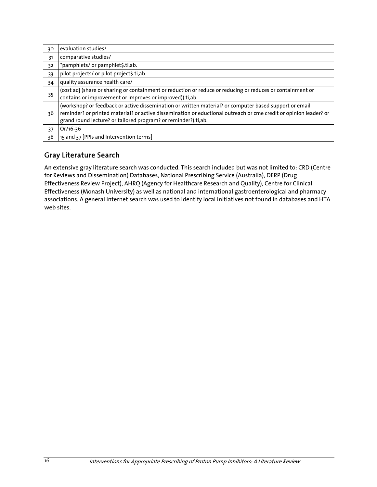| 30 | evaluation studies/                                                                                               |
|----|-------------------------------------------------------------------------------------------------------------------|
| 31 | comparative studies/                                                                                              |
| 32 | *pamphlets/ or pamphlet\$.ti,ab.                                                                                  |
| 33 | pilot projects/ or pilot project\$.ti,ab.                                                                         |
| 34 | quality assurance health care/                                                                                    |
| 35 | (cost adj (share or sharing or containment or reduction or reduce or reducing or reduces or containment or        |
|    | contains or improvement or improves or improved)).ti,ab.                                                          |
|    | (workshop? or feedback or active dissemination or written material? or computer based support or email            |
| 36 | reminder? or printed material? or active dissemination or eductional outreach or cme credit or opinion leader? or |
|    | grand round lecture? or tailored program? or reminder?).ti,ab.                                                    |
| 37 | Or/16-36                                                                                                          |
| 38 | 15 and 37 [PPIs and Intervention terms]                                                                           |

#### Gray Literature Search

An extensive gray literature search was conducted. This search included but was not limited to: CRD (Centre for Reviews and Dissemination) Databases, National Prescribing Service (Australia), DERP (Drug Effectiveness Review Project), AHRQ (Agency for Healthcare Research and Quality), Centre for Clinical Effectiveness (Monash University) as well as national and international gastroenterological and pharmacy associations. A general internet search was used to identify local initiatives not found in databases and HTA web sites.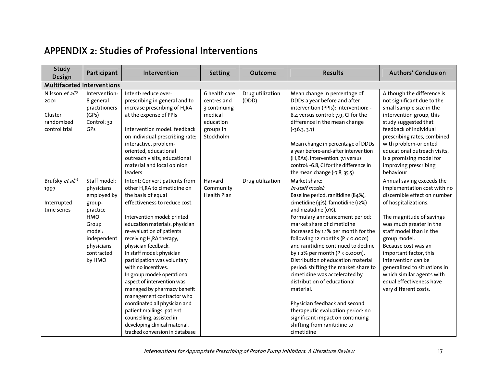### APPENDIX 2: Studies of Professional Interventions

| Study<br>Design                                                                | Participant                                                                                                                                    | Intervention                                                                                                                                                                                                                                                                                                                                                                                                                                                                                                                                                                                                                                               | Setting                                                                                        | Outcome                   | <b>Results</b>                                                                                                                                                                                                                                                                                                                                                                                                                                                                                                                                                                                                                                                                 | <b>Authors' Conclusion</b>                                                                                                                                                                                                                                                                                                                                                                                   |
|--------------------------------------------------------------------------------|------------------------------------------------------------------------------------------------------------------------------------------------|------------------------------------------------------------------------------------------------------------------------------------------------------------------------------------------------------------------------------------------------------------------------------------------------------------------------------------------------------------------------------------------------------------------------------------------------------------------------------------------------------------------------------------------------------------------------------------------------------------------------------------------------------------|------------------------------------------------------------------------------------------------|---------------------------|--------------------------------------------------------------------------------------------------------------------------------------------------------------------------------------------------------------------------------------------------------------------------------------------------------------------------------------------------------------------------------------------------------------------------------------------------------------------------------------------------------------------------------------------------------------------------------------------------------------------------------------------------------------------------------|--------------------------------------------------------------------------------------------------------------------------------------------------------------------------------------------------------------------------------------------------------------------------------------------------------------------------------------------------------------------------------------------------------------|
| <b>Multifaceted Interventions</b>                                              |                                                                                                                                                |                                                                                                                                                                                                                                                                                                                                                                                                                                                                                                                                                                                                                                                            |                                                                                                |                           |                                                                                                                                                                                                                                                                                                                                                                                                                                                                                                                                                                                                                                                                                |                                                                                                                                                                                                                                                                                                                                                                                                              |
| Nilsson et al. <sup>15</sup><br>2001<br>Cluster<br>randomized<br>control trial | Intervention:<br>8 general<br>practitioners<br>(GPs)<br>Control: 32<br><b>GPs</b>                                                              | Intent: reduce over-<br>prescribing in general and to<br>increase prescribing of H <sub>2</sub> RA<br>at the expense of PPIs<br>Intervention model: feedback<br>on individual prescribing rate;<br>interactive, problem-<br>oriented, educational<br>outreach visits; educational<br>material and local opinion<br>leaders                                                                                                                                                                                                                                                                                                                                 | 6 health care<br>centres and<br>3 continuing<br>medical<br>education<br>groups in<br>Stockholm | Drug utilization<br>(DDD) | Mean change in percentage of<br>DDDs a year before and after<br>intervention (PPIs): intervention: -<br>8.4 versus control: 7.9, CI for the<br>difference in the mean change<br>$(-36.3, 3.7)$<br>Mean change in percentage of DDDs<br>a year before-and-after intervention<br>(H, RAs): intervention: 7.1 versus<br>control: -6.8, CI for the difference in<br>the mean change (-7.8, 35.5)                                                                                                                                                                                                                                                                                   | Although the difference is<br>not significant due to the<br>small sample size in the<br>intervention group, this<br>study suggested that<br>feedback of individual<br>prescribing rates, combined<br>with problem-oriented<br>educational outreach visits,<br>is a promising model for<br>improving prescribing<br>behaviour                                                                                 |
| Brufsky et al. <sup>16</sup><br>1997<br>Interrupted<br>time series             | Staff model:<br>physicians<br>employed by<br>group-<br>practice<br>HMO<br>Group<br>model:<br>independent<br>physicians<br>contracted<br>by HMO | Intent: Convert patients from<br>other H, RA to cimetidine on<br>the basis of equal<br>effectiveness to reduce cost.<br>Intervention model: printed<br>education materials, physician<br>re-evaluation of patients<br>receiving H <sub>2</sub> RA therapy,<br>physician feedback.<br>In staff model: physician<br>participation was voluntary<br>with no incentives.<br>In group model: operational<br>aspect of intervention was<br>managed by pharmacy benefit<br>management contractor who<br>coordinated all physician and<br>patient mailings, patient<br>counselling, assisted in<br>developing clinical material,<br>tracked conversion in database | Harvard<br>Community<br><b>Health Plan</b>                                                     | Drug utilization          | Market share:<br>In-staff model:<br>Baseline period: ranitidine (84%),<br>cimetidine (4%), famotidine (12%)<br>and nizatidine (0%).<br>Formulary announcement period:<br>market share of cimetidine<br>increased by 1.1% per month for the<br>following 12 months ( $P < 0.0001$ )<br>and ranitidine continued to decline<br>by 1.2% per month (P < 0.0001).<br>Distribution of education material<br>period: shifting the market share to<br>cimetidine was accelerated by<br>distribution of educational<br>material.<br>Physician feedback and second<br>therapeutic evaluation period: no<br>significant impact on continuing<br>shifting from ranitidine to<br>cimetidine | Annual saving exceeds the<br>implementation cost with no<br>discernible effect on number<br>of hospitalizations.<br>The magnitude of savings<br>was much greater in the<br>staff model than in the<br>group model.<br>Because cost was an<br>important factor, this<br>intervention can be<br>generalized to situations in<br>which similar agents with<br>equal effectiveness have<br>very different costs. |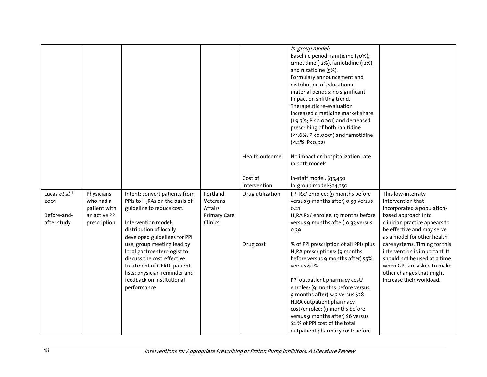|                                                                  |                                                                          |                                                                                                                                                                                                                                                                                       |                                                                   |                               | In-group model:<br>Baseline period: ranitidine (70%),<br>cimetidine (12%), famotidine (12%)<br>and nizatidine (5%).<br>Formulary announcement and<br>distribution of educational<br>material periods: no significant<br>impact on shifting trend.<br>Therapeutic re-evaluation<br>increased cimetidine market share<br>(+9.7%; P <0.0001) and decreased<br>prescribing of both ranitidine<br>(-11.6%; P < 0.0001) and famotidine<br>$(-1.2\%; P < 0.02)$ |                                                                                                                                                                                                                                                                                              |
|------------------------------------------------------------------|--------------------------------------------------------------------------|---------------------------------------------------------------------------------------------------------------------------------------------------------------------------------------------------------------------------------------------------------------------------------------|-------------------------------------------------------------------|-------------------------------|----------------------------------------------------------------------------------------------------------------------------------------------------------------------------------------------------------------------------------------------------------------------------------------------------------------------------------------------------------------------------------------------------------------------------------------------------------|----------------------------------------------------------------------------------------------------------------------------------------------------------------------------------------------------------------------------------------------------------------------------------------------|
|                                                                  |                                                                          |                                                                                                                                                                                                                                                                                       |                                                                   | Health outcome                | No impact on hospitalization rate<br>in both models                                                                                                                                                                                                                                                                                                                                                                                                      |                                                                                                                                                                                                                                                                                              |
|                                                                  |                                                                          |                                                                                                                                                                                                                                                                                       |                                                                   | Cost of<br>intervention       | In-staff model: \$35,450<br>In-group model:\$24,250                                                                                                                                                                                                                                                                                                                                                                                                      |                                                                                                                                                                                                                                                                                              |
| Lucas et al. <sup>17</sup><br>2001<br>Before-and-<br>after study | Physicians<br>who had a<br>patient with<br>an active PPI<br>prescription | Intent: convert patients from<br>PPIs to H <sub>2</sub> RAs on the basis of<br>guideline to reduce cost.<br>Intervention model:<br>distribution of locally<br>developed guidelines for PPI<br>use; group meeting lead by<br>local gastroenterologist to<br>discuss the cost-effective | Portland<br>Veterans<br>Affairs<br><b>Primary Care</b><br>Clinics | Drug utilization<br>Drug cost | PPI Rx/ enrolee: (9 months before<br>versus 9 months after) 0.39 versus<br>0.27<br>H <sub>2</sub> RA Rx/ enrolee: (9 months before<br>versus 9 months after) 0.33 versus<br>0.39<br>% of PPI prescription of all PPIs plus<br>H,RA prescriptions: (9 months<br>before versus 9 months after) 55%                                                                                                                                                         | This low-intensity<br>intervention that<br>incorporated a population-<br>based approach into<br>clinician practice appears to<br>be effective and may serve<br>as a model for other health<br>care systems. Timing for this<br>intervention is important. It<br>should not be used at a time |
|                                                                  |                                                                          | treatment of GERD; patient<br>lists; physician reminder and<br>feedback on institutional<br>performance                                                                                                                                                                               |                                                                   |                               | versus 40%<br>PPI outpatient pharmacy cost/<br>enrolee: (9 months before versus<br>9 months after) \$43 versus \$28.<br>H <sub>2</sub> RA outpatient pharmacy<br>cost/enrolee: (9 months before<br>versus 9 months after) \$6 versus<br>\$2 % of PPI cost of the total<br>outpatient pharmacy cost: before                                                                                                                                               | when GPs are asked to make<br>other changes that might<br>increase their workload.                                                                                                                                                                                                           |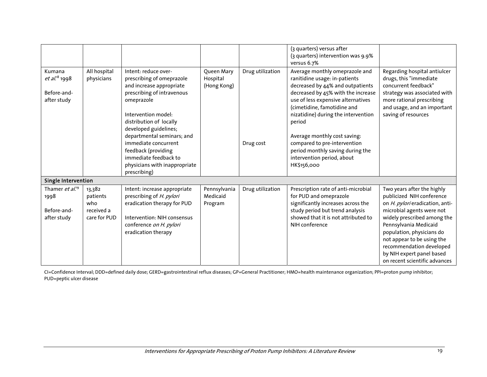|                                                                   |                                                         |                                                                                                                                                                                                      |                                       |                  | (3 quarters) versus after<br>(3 quarters) intervention was 9.9%<br>versus 6.7%                                                                                                                                                                                  |                                                                                                                                                                                                                                                                                                                                      |
|-------------------------------------------------------------------|---------------------------------------------------------|------------------------------------------------------------------------------------------------------------------------------------------------------------------------------------------------------|---------------------------------------|------------------|-----------------------------------------------------------------------------------------------------------------------------------------------------------------------------------------------------------------------------------------------------------------|--------------------------------------------------------------------------------------------------------------------------------------------------------------------------------------------------------------------------------------------------------------------------------------------------------------------------------------|
| Kumana<br>et al. <sup>18</sup> 1998<br>Before-and-<br>after study | All hospital<br>physicians                              | Intent: reduce over-<br>prescribing of omeprazole<br>and increase appropriate<br>prescribing of intravenous<br>omeprazole<br>Intervention model:<br>distribution of locally<br>developed guidelines; | Queen Mary<br>Hospital<br>(Hong Kong) | Drug utilization | Average monthly omeprazole and<br>ranitidine usage: in-patients<br>decreased by 44% and outpatients<br>decreased by 45% with the increase<br>use of less expensive alternatives<br>(cimetidine, famotidine and<br>nizatidine) during the intervention<br>period | Regarding hospital antiulcer<br>drugs, this "immediate<br>concurrent feedback"<br>strategy was associated with<br>more rational prescribing<br>and usage, and an important<br>saving of resources                                                                                                                                    |
|                                                                   |                                                         | departmental seminars; and<br>immediate concurrent<br>feedback (providing<br>immediate feedback to<br>physicians with inappropriate<br>prescribing)                                                  |                                       | Drug cost        | Average monthly cost saving:<br>compared to pre-intervention<br>period monthly saving during the<br>intervention period, about<br>HK\$156,000                                                                                                                   |                                                                                                                                                                                                                                                                                                                                      |
| Single Intervention                                               |                                                         |                                                                                                                                                                                                      |                                       |                  |                                                                                                                                                                                                                                                                 |                                                                                                                                                                                                                                                                                                                                      |
| Thamer et al. <sup>19</sup><br>1998<br>Before-and-<br>after study | 13,382<br>patients<br>who<br>received a<br>care for PUD | Intent: increase appropriate<br>prescribing of H. pylori<br>eradication therapy for PUD<br>Intervention: NIH consensus<br>conference on H. pylori<br>eradication therapy                             | Pennsylvania<br>Medicaid<br>Program   | Drug utilization | Prescription rate of anti-microbial<br>for PUD and omeprazole<br>significantly increases across the<br>study period but trend analysis<br>showed that it is not attributed to<br>NIH conference                                                                 | Two years after the highly<br>publicized NIH conference<br>on H. pylori eradication, anti-<br>microbial agents were not<br>widely prescribed among the<br>Pennsylvania Medicaid<br>population, physicians do<br>not appear to be using the<br>recommendation developed<br>by NIH expert panel based<br>on recent scientific advances |

CI=Confidence Interval; DDD=defined daily dose; GERD=gastrointestinal reflux diseases; GP=General Practitioner; HMO=health maintenance organization; PPI=proton pump inhibitor; PUD=peptic ulcer disease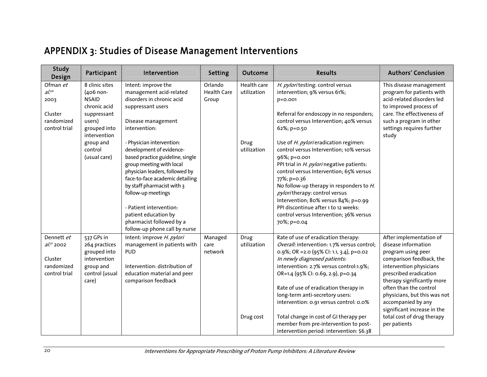# APPENDIX 3: Studies of Disease Management Interventions

| <b>Study</b><br>Design                                                  | Participant                                                                                          | Intervention                                                                                                                                                                                                                                                                                                                                                   | <b>Setting</b>                         | Outcome                    | <b>Results</b>                                                                                                                                                                                                                                                                                                                                                                                                                       | <b>Authors' Conclusion</b>                                                                                                                                                                                                                                                                         |
|-------------------------------------------------------------------------|------------------------------------------------------------------------------------------------------|----------------------------------------------------------------------------------------------------------------------------------------------------------------------------------------------------------------------------------------------------------------------------------------------------------------------------------------------------------------|----------------------------------------|----------------------------|--------------------------------------------------------------------------------------------------------------------------------------------------------------------------------------------------------------------------------------------------------------------------------------------------------------------------------------------------------------------------------------------------------------------------------------|----------------------------------------------------------------------------------------------------------------------------------------------------------------------------------------------------------------------------------------------------------------------------------------------------|
| Ofman et<br>$aL^{20}$<br>2003<br>Cluster<br>randomized<br>control trial | 8 clinic sites<br>(406 non-<br><b>NSAID</b><br>chronic acid<br>suppressant<br>users)<br>grouped into | Intent: improve the<br>management acid-related<br>disorders in chronic acid<br>suppressant users<br>Disease management<br>intervention:                                                                                                                                                                                                                        | Orlando<br><b>Health Care</b><br>Group | Health care<br>utilization | H. pyloritesting: control versus<br>intervention; 9% versus 61%;<br>p=0.001<br>Referral for endoscopy in no responders;<br>control versus Intervention; 40% versus<br>62%; p=0.50                                                                                                                                                                                                                                                    | This disease management<br>program for patients with<br>acid-related disorders led<br>to improved process of<br>care. The effectiveness of<br>such a program in other<br>settings requires further                                                                                                 |
|                                                                         | intervention<br>group and<br>control<br>(usual care)                                                 | - Physician intervention:<br>development of evidence-<br>based practice guideline, single<br>group meeting with local<br>physician leaders, followed by<br>face-to-face academic detailing<br>by staff pharmacist with 3<br>follow-up meetings<br>- Patient intervention:<br>patient education by<br>pharmacist followed by a<br>follow-up phone call by nurse |                                        | Drug<br>utilization        | Use of <i>H. pylori</i> eradication regimen:<br>control versus Intervention; 10% versus<br>96%; p=0.001<br>PPI trial in H. pylorinegative patients:<br>control versus Intervention; 65% versus<br>77%; p=0.36<br>No follow-up therapy in responders to H.<br>pyloritherapy: control versus<br>Intervention; 80% versus 84%; p=0.99<br>PPI discontinue after 1 to 12 weeks:<br>control versus Intervention; 36% versus<br>70%; p=0.04 | study                                                                                                                                                                                                                                                                                              |
| Dennett et<br>$al.^{21}$ 2002<br>Cluster<br>randomized<br>control trial | 537 GPs in<br>264 practices<br>grouped into<br>intervention<br>group and<br>control (usual<br>care)  | Intent: improve H. pylori<br>management in patients with<br><b>PUD</b><br>Intervention: distribution of<br>education material and peer<br>comparison feedback                                                                                                                                                                                                  | Managed<br>care<br>network             | Drug<br>utilization        | Rate of use of eradication therapy:<br>Overall: intervention: 1.7% versus control;<br>0.9%; OR = 2.0 (95% Cl: 1.1, 3.4), p=0.02<br>In newly diagnosed patients:<br>intervention: 2.7% versus control:1.9%;<br>OR=1.4 (95% CI: 0.69, 2.9), p=0.34<br>Rate of use of eradication therapy in<br>long-term anti-secretory users:<br>intervention: 0.91 versus control: 0.0%                                                              | After implementation of<br>disease information<br>program using peer<br>comparison feedback, the<br>intervention physicians<br>prescribed eradication<br>therapy significantly more<br>often than the control<br>physicians, but this was not<br>accompanied by any<br>significant increase in the |
|                                                                         |                                                                                                      |                                                                                                                                                                                                                                                                                                                                                                |                                        | Drug cost                  | Total change in cost of GI therapy per<br>member from pre-intervention to post-<br>intervention period: intervention: \$6.38                                                                                                                                                                                                                                                                                                         | total cost of drug therapy<br>per patients                                                                                                                                                                                                                                                         |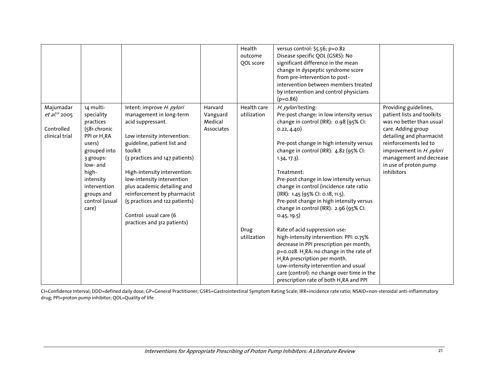|                                                                        |                                                                                                                                                                                                                    |                                                                                                                                                                                                                                                                                                                                                                                                             |                                              | Health<br>outcome<br><b>OOL</b> score | versus control: \$5.56; p=0.82<br>Disease specific QOL (GSRS): No<br>significant difference in the mean<br>change in dyspeptic syndrome score<br>from pre-intervention to post-<br>intervention between members treated<br>by intervention and control physicians<br>$(p=0.86)$                                                                                                                                                                                               |                                                                                                                                                                                                                                                          |
|------------------------------------------------------------------------|--------------------------------------------------------------------------------------------------------------------------------------------------------------------------------------------------------------------|-------------------------------------------------------------------------------------------------------------------------------------------------------------------------------------------------------------------------------------------------------------------------------------------------------------------------------------------------------------------------------------------------------------|----------------------------------------------|---------------------------------------|-------------------------------------------------------------------------------------------------------------------------------------------------------------------------------------------------------------------------------------------------------------------------------------------------------------------------------------------------------------------------------------------------------------------------------------------------------------------------------|----------------------------------------------------------------------------------------------------------------------------------------------------------------------------------------------------------------------------------------------------------|
| Majumadar<br>et al. <sup>22</sup> 2005<br>Controlled<br>clinical trial | 14 multi-<br>speciality<br>practices<br>(581 chronic<br>PPI or H <sub>2</sub> RA<br>users)<br>grouped into<br>3 groups:<br>low- and<br>high-<br>intensity<br>intervention<br>groups and<br>control (usual<br>care) | Intent: improve H. pylori<br>management in long-term<br>acid suppressant.<br>Low intensity intervention:<br>guideline, patient list and<br>toolkit<br>(3 practices and 147 patients)<br>High-intensity intervention:<br>low-intensity intervention<br>plus academic detailing and<br>reinforcement by pharmacist<br>(5 practices and 122 patients)<br>Control: usual care (6<br>practices and 312 patients) | Harvard<br>Vanguard<br>Medical<br>Associates | Health care<br>utilization            | H. pyloritesting:<br>Pre-post change: in low intensity versus<br>change in control (IRR): 0.98 (95% CI:<br>0.22, 4.40)<br>Pre-post change in high intensity versus<br>change in control (IRR): 4.82 (95% CI:<br>$1.34, 17.3$ ).<br>Treatment:<br>Pre-post change in low intensity versus<br>change in control (incidence rate ratio<br>(IRR): 1.45 (95% CI: 0.18, 11.5).<br>Pre-post change in high intensity versus<br>change in control (IRR): 2.96 (95% CI:<br>0.45, 19.5) | Providing guidelines,<br>patient lists and toolkits<br>was no better than usual<br>care. Adding group<br>detailing and pharmacist<br>reinforcements led to<br>improvement in H. pylori<br>management and decrease<br>in use of proton pump<br>inhibitors |
|                                                                        |                                                                                                                                                                                                                    |                                                                                                                                                                                                                                                                                                                                                                                                             |                                              | Drug<br>utilization                   | Rate of acid suppression use:<br>high-intensity intervention: PPI: 0.75%<br>decrease in PPI prescription per month;<br>p=0.028. H,RA: no change in the rate of<br>H <sub>2</sub> RA prescription per month.<br>Low-intensity intervention and usual<br>care (control): no change over time in the<br>prescription rate of both H <sub>2</sub> RA and PPI                                                                                                                      |                                                                                                                                                                                                                                                          |

CI=Confidence Interval; DDD=defined daily dose; GP=General Practitioner; GSRS=Gastrointestinal Symptom Rating Scale; IRR=incidence rate ratio; NSAID=non-steroidal anti-inflammatory drug; PPI=proton pump inhibitor; QOL=Quality of life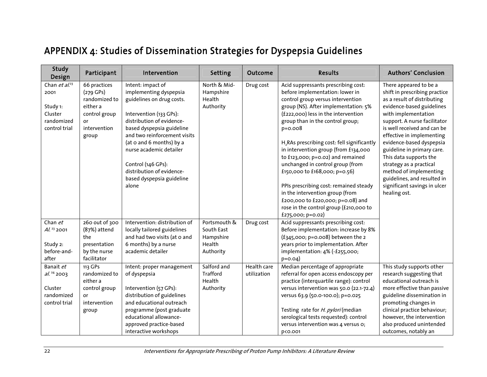# APPENDIX 4: Studies of Dissemination Strategies for Dyspepsia Guidelines

| <b>Study</b><br>Design                                                          | Participant                                                                                              | Intervention                                                                                                                                                                                                                                                                                                                                  | <b>Setting</b>                                                 | Outcome                    | <b>Results</b>                                                                                                                                                                                                                                                                                                                                                                                                                                                                                                                                                                                                         | <b>Authors' Conclusion</b>                                                                                                                                                                                                                                                                                                                                                                                                                                     |
|---------------------------------------------------------------------------------|----------------------------------------------------------------------------------------------------------|-----------------------------------------------------------------------------------------------------------------------------------------------------------------------------------------------------------------------------------------------------------------------------------------------------------------------------------------------|----------------------------------------------------------------|----------------------------|------------------------------------------------------------------------------------------------------------------------------------------------------------------------------------------------------------------------------------------------------------------------------------------------------------------------------------------------------------------------------------------------------------------------------------------------------------------------------------------------------------------------------------------------------------------------------------------------------------------------|----------------------------------------------------------------------------------------------------------------------------------------------------------------------------------------------------------------------------------------------------------------------------------------------------------------------------------------------------------------------------------------------------------------------------------------------------------------|
| Chan et $al^{23}$<br>2001<br>Study 1:<br>Cluster<br>randomized<br>control trial | 66 practices<br>$(279$ GPs)<br>randomized to<br>either a<br>control group<br>or<br>intervention<br>group | Intent: impact of<br>implementing dyspepsia<br>guidelines on drug costs.<br>Intervention (133 GPs):<br>distribution of evidence-<br>based dyspepsia guideline<br>and two reinforcement visits<br>(at o and 6 months) by a<br>nurse academic detailer<br>Control (146 GPs):<br>distribution of evidence-<br>based dyspepsia guideline<br>alone | North & Mid-<br>Hampshire<br>Health<br>Authority               | Drug cost                  | Acid suppressants prescribing cost:<br>before implementation: lower in<br>control group versus intervention<br>group (NS). After implementation: 5%<br>(£222,000) less in the intervention<br>group than in the control group;<br>$p = 0.008$<br>H <sub>2</sub> RAs prescribing cost: fell significantly<br>in intervention group (from £134,000<br>to £123,000; p=0.02) and remained<br>unchanged in control group (from<br>£150,000 to £168,000; p=0.56)<br>PPIs prescribing cost: remained steady<br>in the intervention group (from<br>£200,000 to £220,000; p=0.08) and<br>rose in the control group (£210,000 to | There appeared to be a<br>shift in prescribing practice<br>as a result of distributing<br>evidence-based guidelines<br>with implementation<br>support. A nurse facilitator<br>is well received and can be<br>effective in implementing<br>evidence-based dyspepsia<br>guideline in primary care.<br>This data supports the<br>strategy as a practical<br>method of implementing<br>guidelines, and resulted in<br>significant savings in ulcer<br>healing ost. |
| Chan et<br>$Al.$ $23$ 2001<br>Study 2:<br>before-and-<br>after                  | 260 out of 300<br>(87%) attend<br>the<br>presentation<br>by the nurse<br>facilitator                     | Intervention: distribution of<br>locally tailored guidelines<br>and had two visits (at o and<br>6 months) by a nurse<br>academic detailer                                                                                                                                                                                                     | Portsmouth &<br>South East<br>Hampshire<br>Health<br>Authority | Drug cost                  | £275,000; p=0.02)<br>Acid suppressants prescribing cost:<br>Before implementation: increase by 8%<br>$(f_{345,000; p=0.008)$ between the 2<br>years prior to implementation. After<br>implementation: 4% (-£255,000;<br>$p = 0.04$                                                                                                                                                                                                                                                                                                                                                                                     |                                                                                                                                                                                                                                                                                                                                                                                                                                                                |
| Banait et<br>$al.^{24}$ 2003<br>Cluster<br>randomized<br>control trial          | 113 GPs<br>randomized to<br>either a<br>control group<br>or<br>intervention<br>group                     | Intent: proper management<br>of dyspepsia<br>Intervention (57 GPs):<br>distribution of guidelines<br>and educational outreach<br>programme (post graduate<br>educational allowance-<br>approved practice-based<br>interactive workshops                                                                                                       | Salford and<br>Trafford<br>Health<br>Authority                 | Health care<br>utilization | Median percentage of appropriate<br>referral for open access endoscopy per<br>practice (interquartile range): control<br>versus intervention was 50.0 (22.1-72.4)<br>versus 63.9 (50.0-100.0); p=0.025<br>Testing rate for H. pylori (median<br>serological tests requested): control<br>versus intervention was 4 versus o;<br>p<0.001                                                                                                                                                                                                                                                                                | This study supports other<br>research suggesting that<br>educational outreach is<br>more effective than passive<br>guideline dissemination in<br>promoting changes in<br>clinical practice behaviour;<br>however, the intervention<br>also produced unintended<br>outcomes, notably an                                                                                                                                                                         |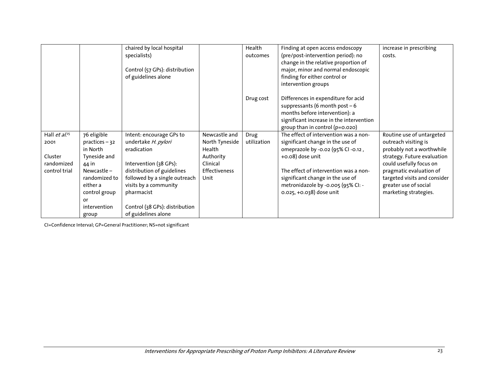|                            |                                                             | chaired by local hospital<br>specialists)<br>Control (57 GPs): distribution<br>of guidelines alone |                                           | Health<br>outcomes  | Finding at open access endoscopy<br>(pre/post-intervention period): no<br>change in the relative proportion of<br>major, minor and normal endoscopic<br>finding for either control or<br>intervention groups | increase in prescribing<br>costs.                                                                         |
|----------------------------|-------------------------------------------------------------|----------------------------------------------------------------------------------------------------|-------------------------------------------|---------------------|--------------------------------------------------------------------------------------------------------------------------------------------------------------------------------------------------------------|-----------------------------------------------------------------------------------------------------------|
|                            |                                                             |                                                                                                    |                                           | Drug cost           | Differences in expenditure for acid<br>suppressants (6 month post $-6$<br>months before intervention): a<br>significant increase in the intervention<br>group than in control (p=0.020)                      |                                                                                                           |
| Hall $et al.^{25}$<br>2001 | 76 eligible<br>practices-32<br>in North                     | Intent: encourage GPs to<br>undertake H. pylori<br>eradication                                     | Newcastle and<br>North Tyneside<br>Health | Drug<br>utilization | The effect of intervention was a non-<br>significant change in the use of<br>omeprazole by -0.02 (95% CI -0.12,                                                                                              | Routine use of untargeted<br>outreach visiting is<br>probably not a worthwhile                            |
| Cluster<br>randomized      | Tyneside and<br>44 in                                       | Intervention (38 GPs):                                                                             | Authority<br>Clinical                     |                     | +0.08) dose unit                                                                                                                                                                                             | strategy. Future evaluation<br>could usefully focus on                                                    |
| control trial              | Newcastle $-$<br>randomized to<br>either a<br>control group | distribution of guidelines<br>followed by a single outreach<br>visits by a community<br>pharmacist | <b>Effectiveness</b><br>Unit              |                     | The effect of intervention was a non-<br>significant change in the use of<br>metronidazole by -0.005 (95% CI: -<br>0.025, +0.038) dose unit                                                                  | pragmatic evaluation of<br>targeted visits and consider<br>greater use of social<br>marketing strategies. |
|                            | or<br>intervention                                          | Control (38 GPs): distribution                                                                     |                                           |                     |                                                                                                                                                                                                              |                                                                                                           |
|                            | group                                                       | of guidelines alone                                                                                |                                           |                     |                                                                                                                                                                                                              |                                                                                                           |

CI=Confidence Interval; GP=General Practitioner; NS=not significant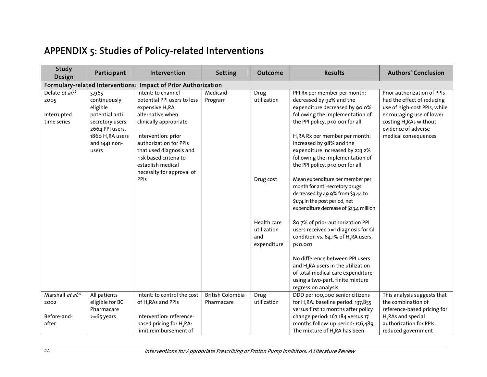# APPENDIX 5: Studies of Policy-related Interventions

| Study<br>Design                                                                | Participant                                                                                                                 | Intervention                                                                                                                                          | Setting                               | Outcome                                          | <b>Results</b>                                                                                                                                                                                                 | <b>Authors' Conclusion</b>                                                                                                                                                                                 |  |  |  |  |
|--------------------------------------------------------------------------------|-----------------------------------------------------------------------------------------------------------------------------|-------------------------------------------------------------------------------------------------------------------------------------------------------|---------------------------------------|--------------------------------------------------|----------------------------------------------------------------------------------------------------------------------------------------------------------------------------------------------------------------|------------------------------------------------------------------------------------------------------------------------------------------------------------------------------------------------------------|--|--|--|--|
|                                                                                | Formulary-related Interventions: Impact of Prior Authorization                                                              |                                                                                                                                                       |                                       |                                                  |                                                                                                                                                                                                                |                                                                                                                                                                                                            |  |  |  |  |
| Delate $e\overline{t}$ al. <sup>26</sup><br>2005<br>Interrupted<br>time series | 5,965<br>continuously<br>eligible<br>potential anti-<br>secretory users:<br>2664 PPI users,<br>1860 H <sub>2</sub> RA users | Intent: to channel<br>potential PPI users to less<br>expensive H <sub>2</sub> RA<br>alternative when<br>clinically appropriate<br>Intervention: prior | Medicaid<br>Program                   | Drug<br>utilization                              | PPI Rx per member per month:<br>decreased by 92% and the<br>expenditure decreased by 90.0%<br>following the implementation of<br>the PPI policy, p<0.001 for all<br>H <sub>2</sub> RA Rx per member per month: | Prior authorization of PPIs<br>had the effect of reducing<br>use of high-cost PPIs, while<br>encouraging use of lower<br>costing H <sub>2</sub> RAs without<br>evidence of adverse<br>medical consequences |  |  |  |  |
|                                                                                | and 1441 non-<br>users                                                                                                      | authorization for PPIs<br>that used diagnosis and<br>risk based criteria to<br>establish medical<br>necessity for approval of                         |                                       |                                                  | increased by 98% and the<br>expenditure increased by 223.2%<br>following the implementation of<br>the PPI policy, p<0.001 for all                                                                              |                                                                                                                                                                                                            |  |  |  |  |
|                                                                                |                                                                                                                             | <b>PPIs</b>                                                                                                                                           |                                       | Drug cost                                        | Mean expenditure per member per<br>month for anti-secretory drugs<br>decreased by 49.9% from \$3.44 to<br>\$1.74 in the post period, net<br>expenditure decrease of \$23.4 million                             |                                                                                                                                                                                                            |  |  |  |  |
|                                                                                |                                                                                                                             |                                                                                                                                                       |                                       | Health care<br>utilization<br>and<br>expenditure | 80.7% of prior-authorization PPI<br>users received >=1 diagnosis for GI<br>condition vs. 64.1% of H <sub>2</sub> RA users,<br>p<0.001                                                                          |                                                                                                                                                                                                            |  |  |  |  |
|                                                                                |                                                                                                                             |                                                                                                                                                       |                                       |                                                  | No difference between PPI users<br>and H <sub>2</sub> RA users in the utilization<br>of total medical care expenditure<br>using a two-part, finite mixture<br>regression analysis                              |                                                                                                                                                                                                            |  |  |  |  |
| Marshall et al. <sup>27</sup><br>2002                                          | All patients<br>eligible for BC                                                                                             | Intent: to control the cost<br>of H <sub>2</sub> RAs and PPIs                                                                                         | <b>British Colombia</b><br>Pharmacare | Drug<br>utilization                              | DDD per 100,000 senior citizens<br>for H <sub>2</sub> RA: baseline period: 137,855                                                                                                                             | This analysis suggests that<br>the combination of                                                                                                                                                          |  |  |  |  |
|                                                                                | Pharmacare                                                                                                                  |                                                                                                                                                       |                                       |                                                  | versus first 12 months after policy                                                                                                                                                                            | reference-based pricing for                                                                                                                                                                                |  |  |  |  |
| Before-and-                                                                    | $>= 65$ years                                                                                                               | Intervention: reference-                                                                                                                              |                                       |                                                  | change period: 167,184 versus 17                                                                                                                                                                               | H <sub>2</sub> RAs and special                                                                                                                                                                             |  |  |  |  |
| after                                                                          |                                                                                                                             | based pricing for H <sub>2</sub> RA:                                                                                                                  |                                       |                                                  | months follow-up period: 156,489.                                                                                                                                                                              | authorization for PPIs                                                                                                                                                                                     |  |  |  |  |
|                                                                                |                                                                                                                             | limit reimbursement of                                                                                                                                |                                       |                                                  | The mixture of H <sub>2</sub> RA has been                                                                                                                                                                      | reduced government                                                                                                                                                                                         |  |  |  |  |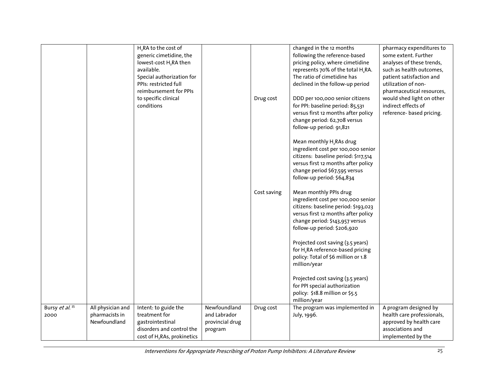|                         |                                                     | H <sub>2</sub> RA to the cost of<br>generic cimetidine, the<br>lowest-cost H <sub>2</sub> RA then<br>available.<br>Special authorization for<br>PPIs: restricted full<br>reimbursement for PPIs<br>to specific clinical<br>conditions |                                                            | Drug cost   | changed in the 12 months<br>following the reference-based<br>pricing policy, where cimetidine<br>represents 70% of the total H <sub>2</sub> RA.<br>The ratio of cimetidine has<br>declined in the follow-up period<br>DDD per 100,000 senior citizens<br>for PPI: baseline period: 85,531<br>versus first 12 months after policy | pharmacy expenditures to<br>some extent. Further<br>analyses of these trends,<br>such as health outcomes,<br>patient satisfaction and<br>utilization of non-<br>pharmaceutical resources,<br>would shed light on other<br>indirect effects of<br>reference- based pricing. |
|-------------------------|-----------------------------------------------------|---------------------------------------------------------------------------------------------------------------------------------------------------------------------------------------------------------------------------------------|------------------------------------------------------------|-------------|----------------------------------------------------------------------------------------------------------------------------------------------------------------------------------------------------------------------------------------------------------------------------------------------------------------------------------|----------------------------------------------------------------------------------------------------------------------------------------------------------------------------------------------------------------------------------------------------------------------------|
|                         |                                                     |                                                                                                                                                                                                                                       |                                                            |             | change period: 62,708 versus<br>follow-up period: 91,821<br>Mean monthly H <sub>2</sub> RAs drug<br>ingredient cost per 100,000 senior<br>citizens: baseline period: \$117,514<br>versus first 12 months after policy<br>change period \$67,595 versus<br>follow-up period: \$64,834                                             |                                                                                                                                                                                                                                                                            |
|                         |                                                     |                                                                                                                                                                                                                                       |                                                            | Cost saving | Mean monthly PPIs drug<br>ingredient cost per 100,000 senior<br>citizens: baseline period: \$193,023<br>versus first 12 months after policy<br>change period: \$143,957 versus<br>follow-up period: \$206,920<br>Projected cost saving (3.5 years)                                                                               |                                                                                                                                                                                                                                                                            |
|                         |                                                     |                                                                                                                                                                                                                                       |                                                            |             | for H <sub>2</sub> RA reference-based pricing<br>policy: Total of \$6 million or 1.8<br>million/year<br>Projected cost saving (3.5 years)<br>for PPI special authorization<br>policy: \$18.8 million or \$5.5<br>million/year                                                                                                    |                                                                                                                                                                                                                                                                            |
| Bursy et al. 35<br>2000 | All physician and<br>pharmacists in<br>Newfoundland | Intent: to guide the<br>treatment for<br>gastrointestinal<br>disorders and control the<br>cost of H <sub>2</sub> RAs, prokinetics                                                                                                     | Newfoundland<br>and Labrador<br>provincial drug<br>program | Drug cost   | The program was implemented in<br>July, 1996.                                                                                                                                                                                                                                                                                    | A program designed by<br>health care professionals,<br>approved by health care<br>associations and<br>implemented by the                                                                                                                                                   |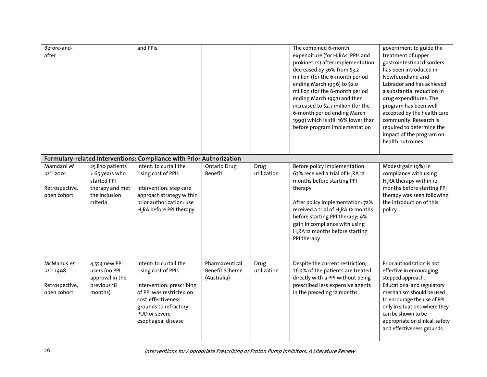| Before-and-<br>after                                           |                                                                                                  | and PPIs                                                                                                                                                                                     |                                                        |                     | The combined 6-month<br>expenditure (for H <sub>2</sub> RAs, PPIs and<br>prokinetics) after implementation:<br>decreased by 36% from \$3.2<br>million (for the 6-month period<br>ending March 1996) to \$2.0<br>million (for the 6-month period<br>ending March 1997) and then<br>increased to \$2.7 million (for the<br>6-month period ending March<br>1999) which is still 16% lower than<br>before program implementation | government to guide the<br>treatment of upper<br>gastrointestinal disorders<br>has been introduced in<br>Newfoundland and<br>Labrador and has achieved<br>a substantial reduction in<br>drug expenditures. The<br>program has been well<br>accepted by the health care<br>community. Research is<br>required to determine the<br>impact of the program on<br>health outcomes. |
|----------------------------------------------------------------|--------------------------------------------------------------------------------------------------|----------------------------------------------------------------------------------------------------------------------------------------------------------------------------------------------|--------------------------------------------------------|---------------------|------------------------------------------------------------------------------------------------------------------------------------------------------------------------------------------------------------------------------------------------------------------------------------------------------------------------------------------------------------------------------------------------------------------------------|-------------------------------------------------------------------------------------------------------------------------------------------------------------------------------------------------------------------------------------------------------------------------------------------------------------------------------------------------------------------------------|
|                                                                |                                                                                                  | Formulary-related Interventions: Compliance with Prior Authorization                                                                                                                         |                                                        |                     |                                                                                                                                                                                                                                                                                                                                                                                                                              |                                                                                                                                                                                                                                                                                                                                                                               |
| Mamdani et<br>$al.^{28}$ 2001<br>Retrospective,<br>open cohort | 25,870 patients<br>> 65 years who<br>started PPI<br>therapy and met<br>the inclusion<br>criteria | Intent: to curtail the<br>rising cost of PPIs<br>Intervention: step care<br>approach strategy within<br>prior authorization: use<br>H <sub>2</sub> RA before PPI therapy                     | <b>Ontario Drug</b><br><b>Benefit</b>                  | Drug<br>utilization | Before policy implementation:<br>63% received a trial of H <sub>2</sub> RA 12<br>months before starting PPI<br>therapy<br>After policy implementation: 72%<br>received a trial of H <sub>2</sub> RA 12 months<br>before starting PPI therapy; 9%<br>gain in compliance with using<br>H <sub>2</sub> RA 12 months before starting<br>PPI therapy                                                                              | Modest gain (9%) in<br>compliance with using<br>H <sub>2</sub> RA therapy within 12<br>months before starting PPI<br>therapy was seen following<br>the introduction of this<br>policy.                                                                                                                                                                                        |
| McManus et<br>$al.^{29}$ 1998<br>Retrospective,<br>open cohort | 4,554 new PPI<br>users (no PPI<br>approval in the<br>previous 18<br>months)                      | Intent: to curtail the<br>rising cost of PPIs<br>Intervention: prescribing<br>of PPI was restricted on<br>cost-effectiveness<br>grounds to refractory<br>PUD or severe<br>esophageal disease | Pharmaceutical<br><b>Benefit Scheme</b><br>(Australia) | Drug<br>utilization | Despite the current restriction,<br>26.5% of the patients are treated<br>directly with a PPI without being<br>prescribed less expensive agents<br>in the preceding 12 months                                                                                                                                                                                                                                                 | Prior authorization is not<br>effective in encouraging<br>stepped approach.<br><b>Educational and regulatory</b><br>mechanism should be used<br>to encourage the use of PPI<br>only in situations where they<br>can be shown to be<br>appropriate on clinical, safety<br>and effectiveness grounds.                                                                           |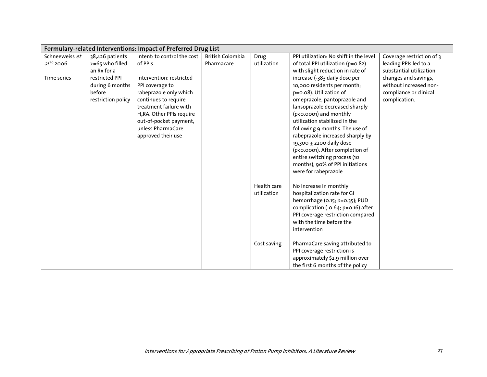| Formulary-related Interventions: Impact of Preferred Drug List |                    |                                       |                         |             |                                        |                           |  |  |
|----------------------------------------------------------------|--------------------|---------------------------------------|-------------------------|-------------|----------------------------------------|---------------------------|--|--|
| Schneeweiss et                                                 | 38,426 patients    | Intent: to control the cost           | <b>British Colombia</b> | Drug        | PPI utilization: No shift in the level | Coverage restriction of 3 |  |  |
| $aL^{30}$ 2006                                                 | >=65 who filled    | of PPIs                               | Pharmacare              | utilization | of total PPI utilization (p=0.82)      | leading PPIs led to a     |  |  |
|                                                                | an Rx for a        |                                       |                         |             | with slight reduction in rate of       | substantial utilization   |  |  |
| Time series                                                    | restricted PPI     | Intervention: restricted              |                         |             | increase (-383 daily dose per          | changes and savings,      |  |  |
|                                                                | during 6 months    | PPI coverage to                       |                         |             | 10,000 residents per month;            | without increased non-    |  |  |
|                                                                | before             | rabeprazole only which                |                         |             | p=0.08). Utilization of                | compliance or clinical    |  |  |
|                                                                | restriction policy | continues to require                  |                         |             | omeprazole, pantoprazole and           | complication.             |  |  |
|                                                                |                    | treatment failure with                |                         |             | lansoprazole decreased sharply         |                           |  |  |
|                                                                |                    | H <sub>2</sub> RA. Other PPIs require |                         |             | (p<0.0001) and monthly                 |                           |  |  |
|                                                                |                    | out-of-pocket payment,                |                         |             | utilization stabilized in the          |                           |  |  |
|                                                                |                    | unless PharmaCare                     |                         |             | following 9 months. The use of         |                           |  |  |
|                                                                |                    | approved their use                    |                         |             | rabeprazole increased sharply by       |                           |  |  |
|                                                                |                    |                                       |                         |             | 19,300 + 2200 daily dose               |                           |  |  |
|                                                                |                    |                                       |                         |             | (p<0.0001). After completion of        |                           |  |  |
|                                                                |                    |                                       |                         |             | entire switching process (10           |                           |  |  |
|                                                                |                    |                                       |                         |             | months), 90% of PPI initiations        |                           |  |  |
|                                                                |                    |                                       |                         |             | were for rabeprazole                   |                           |  |  |
|                                                                |                    |                                       |                         | Health care | No increase in monthly                 |                           |  |  |
|                                                                |                    |                                       |                         | utilization | hospitalization rate for GI            |                           |  |  |
|                                                                |                    |                                       |                         |             | hemorrhage (0.15; p=0.35); PUD         |                           |  |  |
|                                                                |                    |                                       |                         |             | complication (-0.64; p=0.16) after     |                           |  |  |
|                                                                |                    |                                       |                         |             | PPI coverage restriction compared      |                           |  |  |
|                                                                |                    |                                       |                         |             | with the time before the               |                           |  |  |
|                                                                |                    |                                       |                         |             | intervention                           |                           |  |  |
|                                                                |                    |                                       |                         | Cost saving | PharmaCare saving attributed to        |                           |  |  |
|                                                                |                    |                                       |                         |             | PPI coverage restriction is            |                           |  |  |
|                                                                |                    |                                       |                         |             | approximately \$2.9 million over       |                           |  |  |
|                                                                |                    |                                       |                         |             | the first 6 months of the policy       |                           |  |  |
|                                                                |                    |                                       |                         |             |                                        |                           |  |  |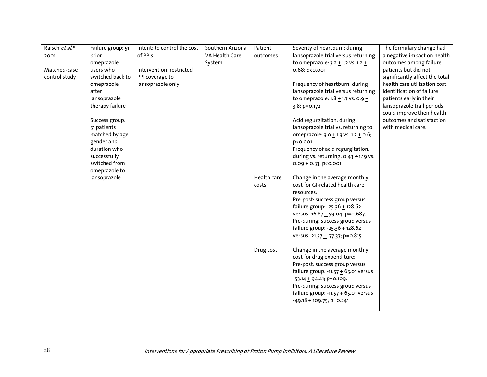| Raisch et al. <sup>31</sup> | Failure group: 51 | Intent: to control the cost | Southern Arizona | Patient     | Severity of heartburn: during                                         | The formulary change had       |
|-----------------------------|-------------------|-----------------------------|------------------|-------------|-----------------------------------------------------------------------|--------------------------------|
| 2001                        | prior             | of PPIs                     | VA Health Care   | outcomes    | lansoprazole trial versus returning                                   | a negative impact on health    |
|                             | omeprazole        |                             | System           |             | to omeprazole: $3.2 + 1.2$ vs. $1.2 +$                                | outcomes among failure         |
| Matched-case                | users who         | Intervention: restricted    |                  |             | $0.68; p$ < $0.001$                                                   | patients but did not           |
| control study               | switched back to  | PPI coverage to             |                  |             |                                                                       | significantly affect the total |
|                             | omeprazole        | lansoprazole only           |                  |             | Frequency of heartburn: during                                        | health care utilization cost.  |
|                             | after             |                             |                  |             | lansoprazole trial versus returning                                   | Identification of failure      |
|                             | lansoprazole      |                             |                  |             | to omeprazole: $1.8 + 1.7$ vs. 0.9 $+$                                | patients early in their        |
|                             | therapy failure   |                             |                  |             | 3.8; p=0.172                                                          | lansoprazole trail periods     |
|                             |                   |                             |                  |             |                                                                       | could improve their health     |
|                             | Success group:    |                             |                  |             | Acid regurgitation: during                                            | outcomes and satisfaction      |
|                             | 51 patients       |                             |                  |             | lansoprazole trial vs. returning to                                   | with medical care.             |
|                             | matched by age,   |                             |                  |             | omeprazole: $3.0 + 1.3$ vs. $1.2 + 0.6$ ;                             |                                |
|                             | gender and        |                             |                  |             | p<0.001                                                               |                                |
|                             | duration who      |                             |                  |             | Frequency of acid regurgitation:                                      |                                |
|                             | successfully      |                             |                  |             | during vs. returning: 0.43 +1.19 vs.                                  |                                |
|                             | switched from     |                             |                  |             | 0.09 $\pm$ 0.33; p<0.001                                              |                                |
|                             | omeprazole to     |                             |                  |             |                                                                       |                                |
|                             | lansoprazole      |                             |                  | Health care | Change in the average monthly                                         |                                |
|                             |                   |                             |                  | costs       | cost for GI-related health care                                       |                                |
|                             |                   |                             |                  |             | resources:                                                            |                                |
|                             |                   |                             |                  |             | Pre-post: success group versus                                        |                                |
|                             |                   |                             |                  |             | failure group: -25.36 $\pm$ 128.62<br>versus -16.87 + 59.04; p=0.687. |                                |
|                             |                   |                             |                  |             | Pre-during: success group versus                                      |                                |
|                             |                   |                             |                  |             | failure group: -25.36 + 128.62                                        |                                |
|                             |                   |                             |                  |             | versus -21.57 $\pm$ 77.37; p=0.815                                    |                                |
|                             |                   |                             |                  |             |                                                                       |                                |
|                             |                   |                             |                  | Drug cost   | Change in the average monthly                                         |                                |
|                             |                   |                             |                  |             | cost for drug expenditure:                                            |                                |
|                             |                   |                             |                  |             | Pre-post: success group versus                                        |                                |
|                             |                   |                             |                  |             | failure group: -11.57 $\pm$ 65.01 versus                              |                                |
|                             |                   |                             |                  |             | $-53.14 \pm 94.41$ ; p=0.109.                                         |                                |
|                             |                   |                             |                  |             | Pre-during: success group versus                                      |                                |
|                             |                   |                             |                  |             | failure group: -11.57 $\pm$ 65.01 versus                              |                                |
|                             |                   |                             |                  |             | $-49.18 + 109.75$ ; p=0.241                                           |                                |
|                             |                   |                             |                  |             |                                                                       |                                |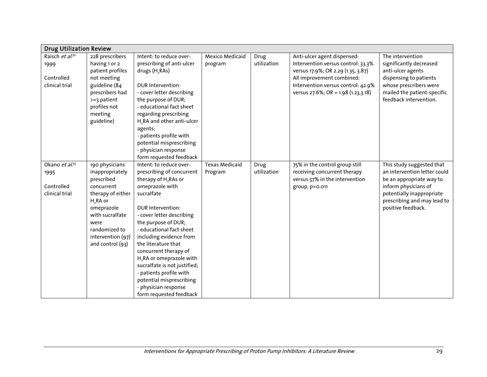| <b>Drug Utilization Review</b> |                                    |                                        |                        |             |                                         |                                                   |
|--------------------------------|------------------------------------|----------------------------------------|------------------------|-------------|-----------------------------------------|---------------------------------------------------|
| Raisch et $\overline{a^{1/3}}$ | 228 prescribers                    | Intent: to reduce over-                | <b>Mexico Medicaid</b> | Drug        | Anti-ulcer agent dispensed:             | The intervention                                  |
| 1999                           | having 1 or 2                      | prescribing of anti-ulcer              | program                | utilization | Intervention versus control: 33.3%      | significantly decreased                           |
|                                | patient profiles                   | drugs (H <sub>2</sub> RAs)             |                        |             | versus 17.9%; OR 2.29 (1.35, 3.87)      | anti-ulcer agents                                 |
| Controlled                     | not meeting                        |                                        |                        |             | All improvement combined:               | dispensing to patients                            |
| clinical trial                 | guideline (84                      | DUR Intervention:                      |                        |             | Intervention versus control: 42.9%      | whose prescribers were                            |
|                                | prescribers had                    | - cover letter describing              |                        |             | versus $27.6\%$ ; OR = 1.98 (1.23,3.18) | mailed the patient-specific                       |
|                                | $>=$ 3 patient                     | the purpose of DUR;                    |                        |             |                                         | feedback intervention.                            |
|                                | profiles not                       | - educational fact sheet               |                        |             |                                         |                                                   |
|                                | meeting                            | regarding prescribing                  |                        |             |                                         |                                                   |
|                                | guideline)                         | H <sub>2</sub> RA and other anti-ulcer |                        |             |                                         |                                                   |
|                                |                                    | agents;                                |                        |             |                                         |                                                   |
|                                |                                    | - patients profile with                |                        |             |                                         |                                                   |
|                                |                                    | potential misprescribing               |                        |             |                                         |                                                   |
|                                |                                    | - physician response                   |                        |             |                                         |                                                   |
|                                |                                    | form requested feedback                |                        |             |                                         |                                                   |
| Okano et al. <sup>33</sup>     | 190 physicians                     | Intent: to reduce over-                | <b>Texas Medicaid</b>  | Drug        | 75% in the control group still          | This study suggested that                         |
| 1995                           | inappropriately                    | prescribing of concurrent              | Program                | utilization | receiving concurrent therapy            | an intervention letter could                      |
|                                | prescribed                         | therapy of H <sub>2</sub> RAs or       |                        |             | versus 57% in the intervention          | be an appropriate way to                          |
| Controlled                     | concurrent                         | omeprazole with                        |                        |             | group, p=0.011                          | inform physicians of                              |
| clinical trial                 | therapy of either                  | sucralfate                             |                        |             |                                         | potentially inappropriate                         |
|                                | H <sub>2</sub> RA or<br>omeprazole | DUR Intervention:                      |                        |             |                                         | prescribing and may lead to<br>positive feedback. |
|                                | with sucralfate                    | - cover letter describing              |                        |             |                                         |                                                   |
|                                | were                               | the purpose of DUR;                    |                        |             |                                         |                                                   |
|                                | randomized to                      | - educational fact sheet               |                        |             |                                         |                                                   |
|                                | intervention (97)                  | including evidence from                |                        |             |                                         |                                                   |
|                                | and control (93)                   | the literature that                    |                        |             |                                         |                                                   |
|                                |                                    | concurrent therapy of                  |                        |             |                                         |                                                   |
|                                |                                    | H <sub>2</sub> RA or omeprazole with   |                        |             |                                         |                                                   |
|                                |                                    | sucralfate is not justified;           |                        |             |                                         |                                                   |
|                                |                                    | - patients profile with                |                        |             |                                         |                                                   |
|                                |                                    | potential misprescribing               |                        |             |                                         |                                                   |
|                                |                                    | - physician response                   |                        |             |                                         |                                                   |
|                                |                                    | form requested feedback                |                        |             |                                         |                                                   |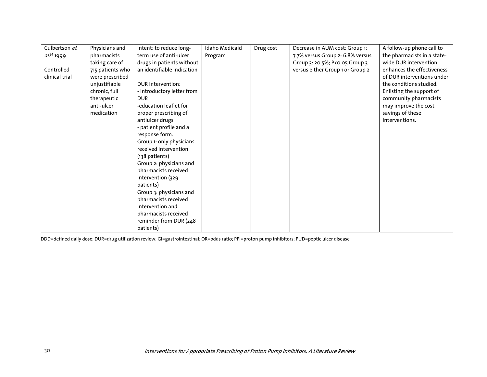| Culbertson et  | Physicians and   | Intent: to reduce long-    | Idaho Medicaid | Drug cost | Decrease in AUM cost: Group 1:   | A follow-up phone call to   |
|----------------|------------------|----------------------------|----------------|-----------|----------------------------------|-----------------------------|
| $al^{34}$ 1999 | pharmacists      | term use of anti-ulcer     | Program        |           | 7.7% versus Group 2: 6.8% versus | the pharmacists in a state- |
|                | taking care of   | drugs in patients without  |                |           | Group 3: 20.5%; P<0.05 Group 3   | wide DUR intervention       |
| Controlled     | 715 patients who | an identifiable indication |                |           | versus either Group 1 or Group 2 | enhances the effectiveness  |
| clinical trial | were prescribed  |                            |                |           |                                  | of DUR interventions under  |
|                | unjustifiable    | <b>DUR</b> Intervention:   |                |           |                                  | the conditions studied.     |
|                | chronic, full    | - introductory letter from |                |           |                                  | Enlisting the support of    |
|                | therapeutic      | <b>DUR</b>                 |                |           |                                  | community pharmacists       |
|                | anti-ulcer       | -education leaflet for     |                |           |                                  | may improve the cost        |
|                | medication       | proper prescribing of      |                |           |                                  | savings of these            |
|                |                  | antiulcer drugs            |                |           |                                  | interventions.              |
|                |                  | - patient profile and a    |                |           |                                  |                             |
|                |                  | response form.             |                |           |                                  |                             |
|                |                  | Group 1: only physicians   |                |           |                                  |                             |
|                |                  | received intervention      |                |           |                                  |                             |
|                |                  | (138 patients)             |                |           |                                  |                             |
|                |                  | Group 2: physicians and    |                |           |                                  |                             |
|                |                  | pharmacists received       |                |           |                                  |                             |
|                |                  | intervention (329          |                |           |                                  |                             |
|                |                  | patients)                  |                |           |                                  |                             |
|                |                  | Group 3: physicians and    |                |           |                                  |                             |
|                |                  | pharmacists received       |                |           |                                  |                             |
|                |                  | intervention and           |                |           |                                  |                             |
|                |                  | pharmacists received       |                |           |                                  |                             |
|                |                  | reminder from DUR (248     |                |           |                                  |                             |
|                |                  | patients)                  |                |           |                                  |                             |

DDD=defined daily dose; DUR=drug utilization review; GI=gastrointestinal; OR=odds ratio; PPI=proton pump inhibitors; PUD=peptic ulcer disease